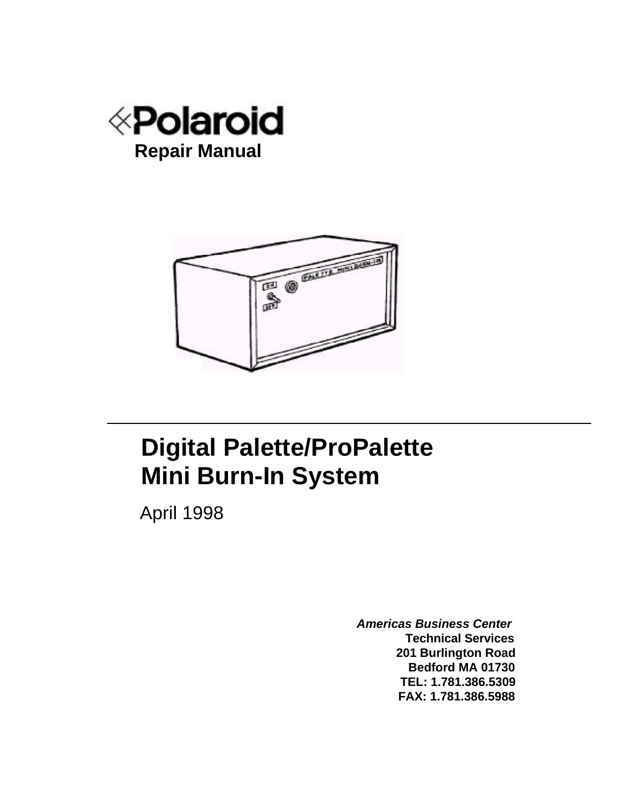



# **Digital Palette/ProPalette Mini Burn-In System**

April 1998

*Americas Business Center* **Technical Services 201 Burlington Road Bedford MA 01730 TEL: 1.781.386.5309 FAX: 1.781.386.5988**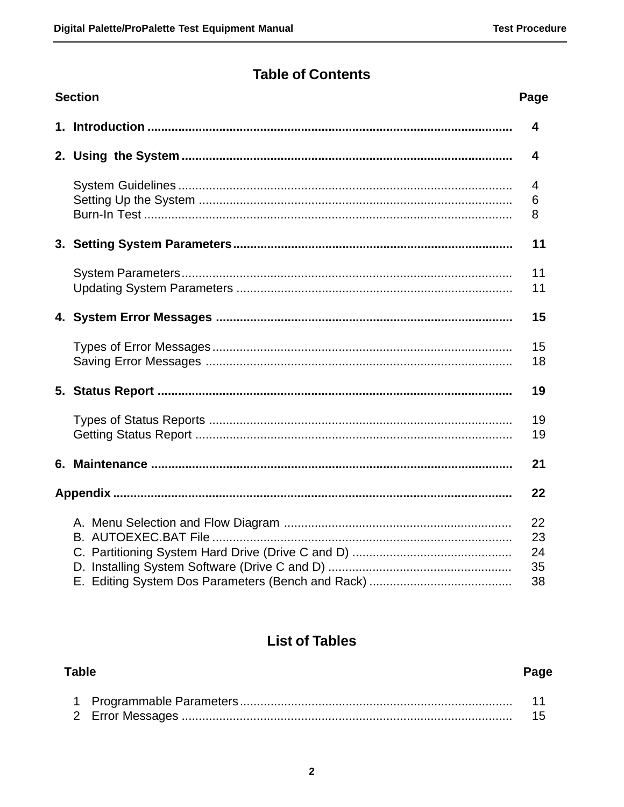### **Table of Contents**

| <b>Section</b><br>Page |  |                            |  |  |  |  |
|------------------------|--|----------------------------|--|--|--|--|
|                        |  | 4                          |  |  |  |  |
|                        |  | 4                          |  |  |  |  |
|                        |  | 4<br>6<br>8                |  |  |  |  |
|                        |  | 11                         |  |  |  |  |
|                        |  | 11<br>11                   |  |  |  |  |
|                        |  | 15                         |  |  |  |  |
|                        |  | 15<br>18                   |  |  |  |  |
|                        |  | 19                         |  |  |  |  |
|                        |  | 19<br>19                   |  |  |  |  |
|                        |  | 21                         |  |  |  |  |
|                        |  | 22                         |  |  |  |  |
|                        |  | 22<br>23<br>24<br>35<br>38 |  |  |  |  |

### **List of Tables**

| <b>Table</b> |  |  |  |  |  |  |
|--------------|--|--|--|--|--|--|
|              |  |  |  |  |  |  |
|              |  |  |  |  |  |  |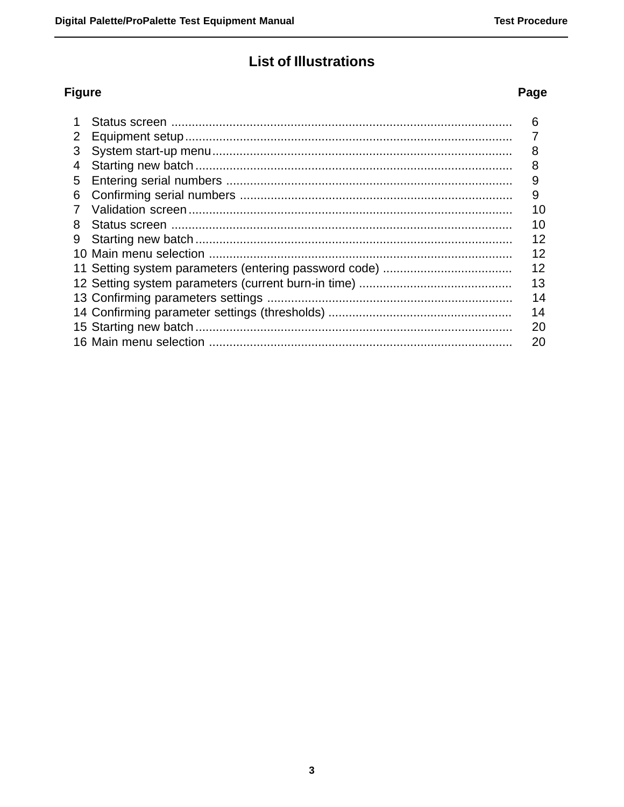## **List of Illustrations**

### **Figure**

|                | 6  |
|----------------|----|
| 2 <sup>1</sup> |    |
| 3              | 8  |
| 4              | 8  |
| 5              | 9  |
| 6              | 9  |
| 7              | 10 |
| 8              | 10 |
|                | 12 |
|                | 12 |
|                | 12 |
|                | 13 |
|                | 14 |
|                | 14 |
|                | 20 |
|                | 20 |

### Page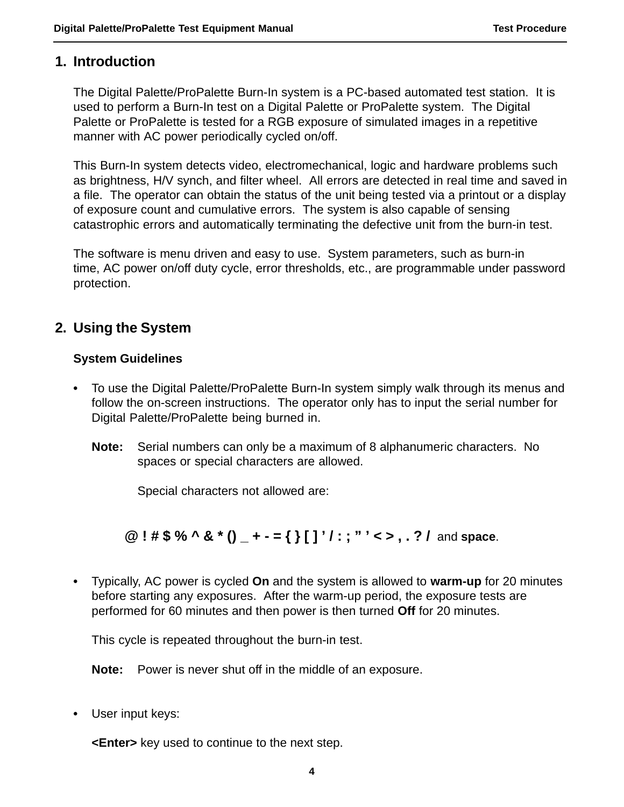### **1. Introduction**

The Digital Palette/ProPalette Burn-In system is a PC-based automated test station. It is used to perform a Burn-In test on a Digital Palette or ProPalette system. The Digital Palette or ProPalette is tested for a RGB exposure of simulated images in a repetitive manner with AC power periodically cycled on/off.

This Burn-In system detects video, electromechanical, logic and hardware problems such as brightness, H/V synch, and filter wheel. All errors are detected in real time and saved in a file. The operator can obtain the status of the unit being tested via a printout or a display of exposure count and cumulative errors. The system is also capable of sensing catastrophic errors and automatically terminating the defective unit from the burn-in test.

The software is menu driven and easy to use. System parameters, such as burn-in time, AC power on/off duty cycle, error thresholds, etc., are programmable under password protection.

### **2. Using the System**

### **System Guidelines**

- **•** To use the Digital Palette/ProPalette Burn-In system simply walk through its menus and follow the on-screen instructions. The operator only has to input the serial number for Digital Palette/ProPalette being burned in.
	- **Note:** Serial numbers can only be a maximum of 8 alphanumeric characters. No spaces or special characters are allowed.

Special characters not allowed are:

**@ ! # \$ % ^ & \* () \_ + - = { } [ ] ' / : ; " ' < > , . ? /** and **space**.

**•** Typically, AC power is cycled **On** and the system is allowed to **warm-up** for 20 minutes before starting any exposures. After the warm-up period, the exposure tests are performed for 60 minutes and then power is then turned **Off** for 20 minutes.

This cycle is repeated throughout the burn-in test.

**Note:** Power is never shut off in the middle of an exposure.

**•** User input keys:

**<Enter>** key used to continue to the next step.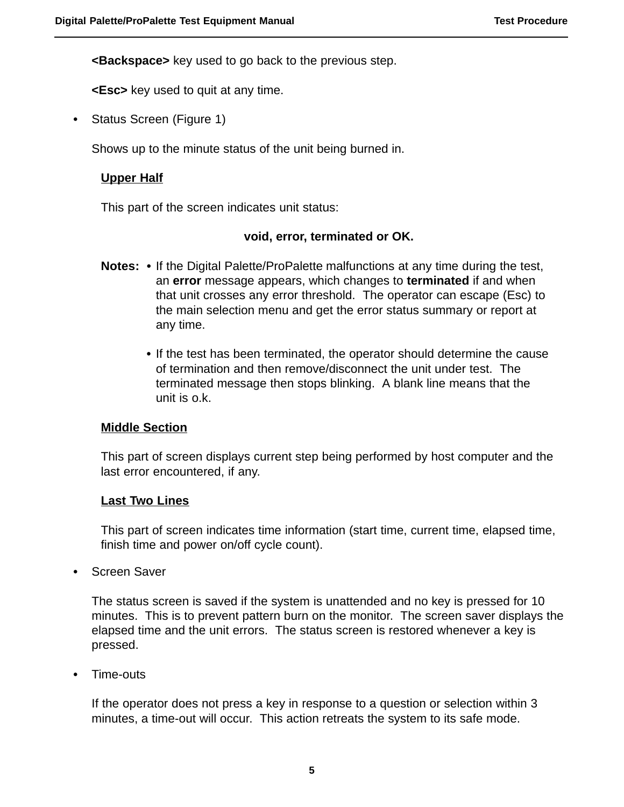**<Backspace>** key used to go back to the previous step.

**<Esc>** key used to quit at any time.

**•** Status Screen (Figure 1)

Shows up to the minute status of the unit being burned in.

### **Upper Half**

This part of the screen indicates unit status:

#### **void, error, terminated or OK.**

- **Notes:** If the Digital Palette/ProPalette malfunctions at any time during the test, an **error** message appears, which changes to **terminated** if and when that unit crosses any error threshold. The operator can escape (Esc) to the main selection menu and get the error status summary or report at any time.
	- **•** If the test has been terminated, the operator should determine the cause of termination and then remove/disconnect the unit under test. The terminated message then stops blinking. A blank line means that the unit is o.k.

#### **Middle Section**

This part of screen displays current step being performed by host computer and the last error encountered, if any.

#### **Last Two Lines**

This part of screen indicates time information (start time, current time, elapsed time, finish time and power on/off cycle count).

**•** Screen Saver

The status screen is saved if the system is unattended and no key is pressed for 10 minutes. This is to prevent pattern burn on the monitor. The screen saver displays the elapsed time and the unit errors. The status screen is restored whenever a key is pressed.

**•** Time-outs

If the operator does not press a key in response to a question or selection within 3 minutes, a time-out will occur. This action retreats the system to its safe mode.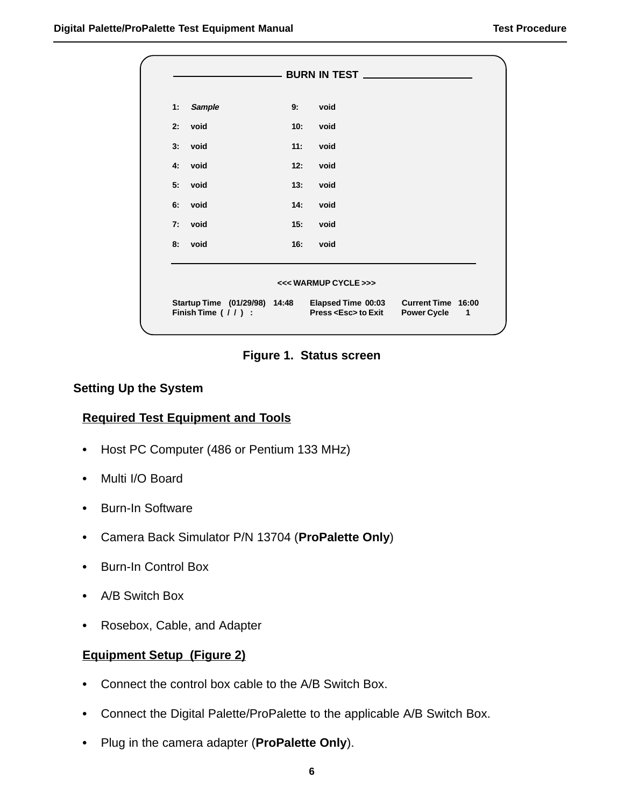| 1: | <b>Sample</b>                                         | 9:  | void                                            |                                               |
|----|-------------------------------------------------------|-----|-------------------------------------------------|-----------------------------------------------|
| 2: | void                                                  | 10: | void                                            |                                               |
| 3: | void                                                  | 11: | void                                            |                                               |
| 4: | void                                                  | 12: | void                                            |                                               |
| 5: | void                                                  | 13: | void                                            |                                               |
| 6: | void                                                  | 14: | void                                            |                                               |
| 7: | void                                                  | 15: | void                                            |                                               |
| 8: | void                                                  | 16: | void                                            |                                               |
|    |                                                       |     | <<< WARMUP CYCLE >>>                            |                                               |
|    | Startup Time (01/29/98) 14:48<br>Finish Time $(11)$ : |     | Elapsed Time 00:03<br>Press <esc> to Exit</esc> | Current Time 16:00<br><b>Power Cycle</b><br>1 |



#### **Setting Up the System**

### **Required Test Equipment and Tools**

- **•** Host PC Computer (486 or Pentium 133 MHz)
- **•** Multi I/O Board
- **•** Burn-In Software
- **•** Camera Back Simulator P/N 13704 (**ProPalette Only**)
- **•** Burn-In Control Box
- **•** A/B Switch Box
- **•** Rosebox, Cable, and Adapter

#### **Equipment Setup (Figure 2)**

- **•** Connect the control box cable to the A/B Switch Box.
- **•** Connect the Digital Palette/ProPalette to the applicable A/B Switch Box.
- **•** Plug in the camera adapter (**ProPalette Only**).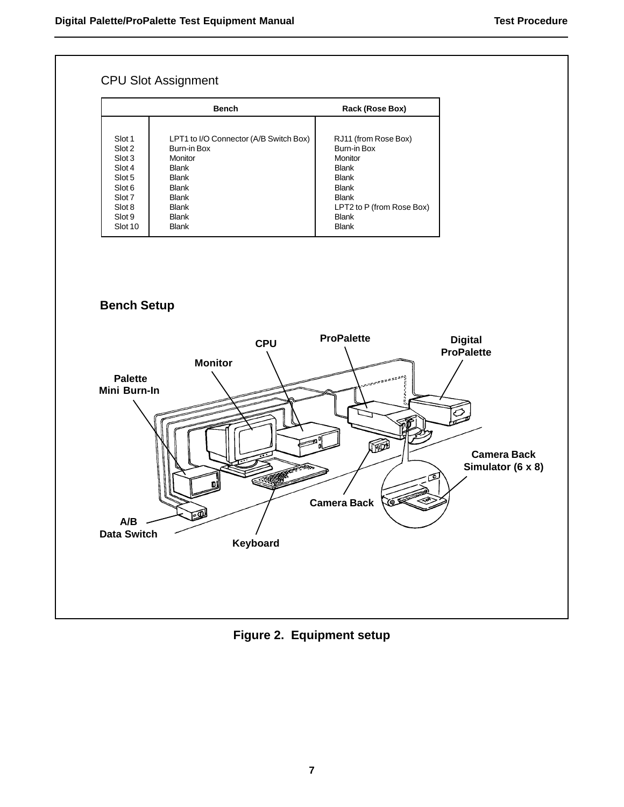

**Figure 2. Equipment setup**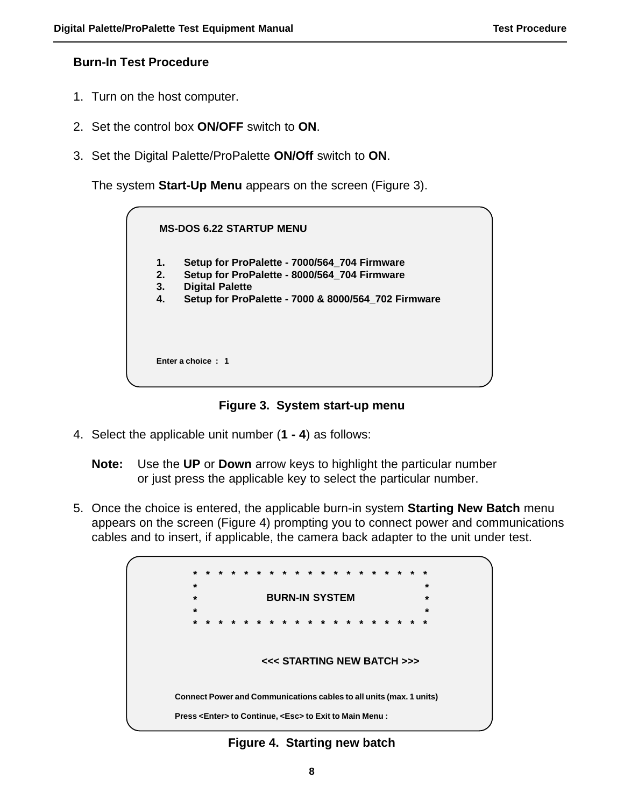#### **Burn-In Test Procedure**

- 1. Turn on the host computer.
- 2. Set the control box **ON/OFF** switch to **ON**.
- 3. Set the Digital Palette/ProPalette **ON/Off** switch to **ON**.

The system **Start-Up Menu** appears on the screen (Figure 3).

|    | <b>MS-DOS 6.22 STARTUP MENU</b>                     |  |
|----|-----------------------------------------------------|--|
| 1. | Setup for ProPalette - 7000/564_704 Firmware        |  |
| 2. | Setup for ProPalette - 8000/564_704 Firmware        |  |
| 3. | <b>Digital Palette</b>                              |  |
| 4. | Setup for ProPalette - 7000 & 8000/564_702 Firmware |  |
|    |                                                     |  |
|    | Enter a choice: 1                                   |  |
|    |                                                     |  |

**Figure 3. System start-up menu**

4. Select the applicable unit number (**1 - 4**) as follows:

**Note:** Use the **UP** or **Down** arrow keys to highlight the particular number or just press the applicable key to select the particular number.

5. Once the choice is entered, the applicable burn-in system **Starting New Batch** menu appears on the screen (Figure 4) prompting you to connect power and communications cables and to insert, if applicable, the camera back adapter to the unit under test.



**Figure 4. Starting new batch**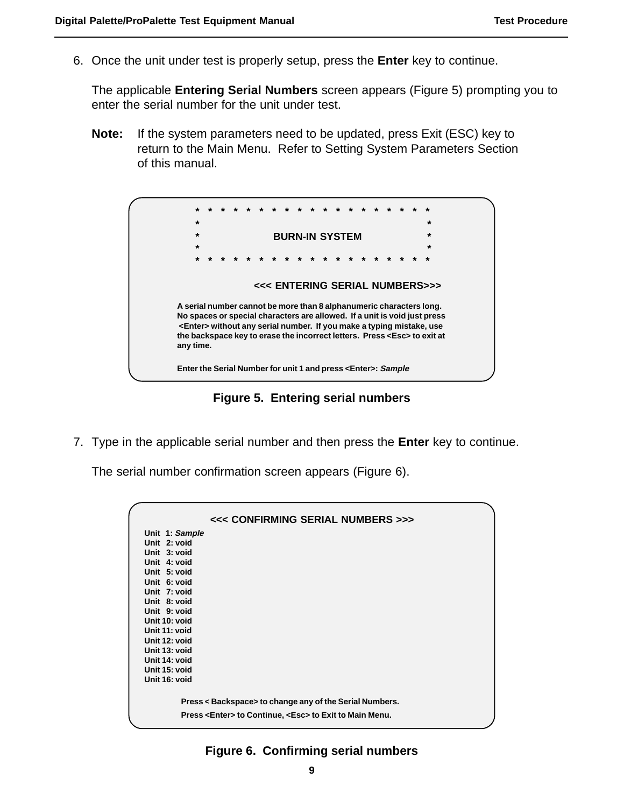6. Once the unit under test is properly setup, press the **Enter** key to continue.

The applicable **Entering Serial Numbers** screen appears (Figure 5) prompting you to enter the serial number for the unit under test.

**Note:** If the system parameters need to be updated, press Exit (ESC) key to return to the Main Menu. Refer to Setting System Parameters Section of this manual.



**Figure 5. Entering serial numbers**

7. Type in the applicable serial number and then press the **Enter** key to continue.

The serial number confirmation screen appears (Figure 6).

| <<< CONFIRMING SERIAL NUMBERS >>>                                    |
|----------------------------------------------------------------------|
| Unit 1: Sample                                                       |
| Unit 2: void                                                         |
| Unit 3: void                                                         |
| Unit 4: void                                                         |
| Unit 5: void                                                         |
| Unit 6: void                                                         |
| Unit 7: void                                                         |
| Unit 8: void                                                         |
| Unit 9: void                                                         |
| Unit 10: void                                                        |
| Unit 11: void                                                        |
| Unit 12: void                                                        |
| Unit 13: void                                                        |
| Unit 14: void                                                        |
| Unit 15: void                                                        |
| Unit 16: void                                                        |
|                                                                      |
| Press < Backspace> to change any of the Serial Numbers.              |
| Press <enter> to Continue, <esc> to Exit to Main Menu.</esc></enter> |
|                                                                      |

#### **Figure 6. Confirming serial numbers**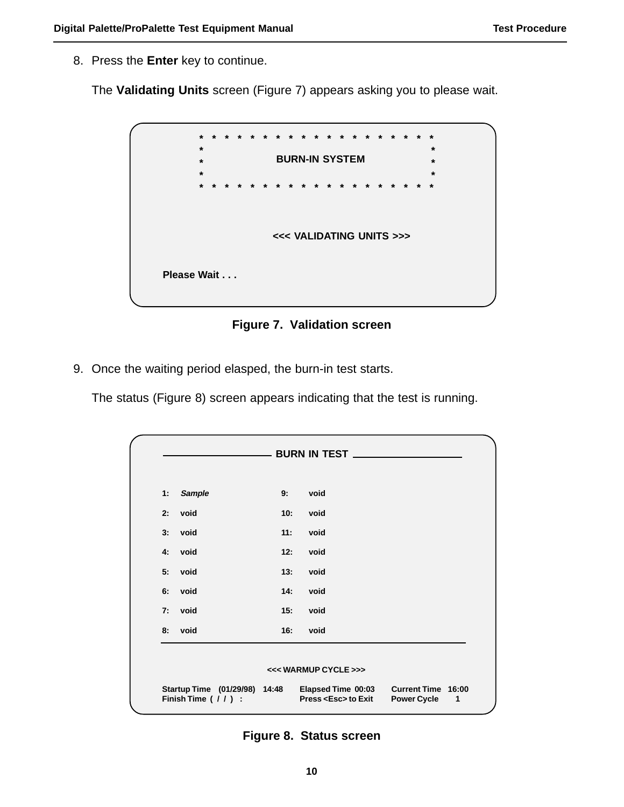8. Press the **Enter** key to continue.

The **Validating Units** screen (Figure 7) appears asking you to please wait.

|             | $\star$ | $\star$ |  |  | $\star$ | $^\star$ | $\star$ | $\star$ | $\star$                  | $\star$ |         | $\star$ | $\star$ | $\star$ | $\star$         |  |  |
|-------------|---------|---------|--|--|---------|----------|---------|---------|--------------------------|---------|---------|---------|---------|---------|-----------------|--|--|
|             | $\star$ |         |  |  |         |          |         |         |                          |         |         |         |         |         | $\star$         |  |  |
|             | $\star$ |         |  |  |         |          |         |         | <b>BURN-IN SYSTEM</b>    |         |         |         |         |         | $\star$         |  |  |
|             | $\star$ |         |  |  |         |          |         |         |                          |         |         |         |         |         | $\star$         |  |  |
|             | $\star$ | $\star$ |  |  | $\star$ |          |         | $\star$ | $\star$                  | $\star$ | $\star$ | $\star$ | $\star$ |         | $\star$ $\star$ |  |  |
|             |         |         |  |  |         |          |         |         |                          |         |         |         |         |         |                 |  |  |
|             |         |         |  |  |         |          |         |         |                          |         |         |         |         |         |                 |  |  |
|             |         |         |  |  |         |          |         |         |                          |         |         |         |         |         |                 |  |  |
|             |         |         |  |  |         |          |         |         | <<< VALIDATING UNITS >>> |         |         |         |         |         |                 |  |  |
|             |         |         |  |  |         |          |         |         |                          |         |         |         |         |         |                 |  |  |
|             |         |         |  |  |         |          |         |         |                          |         |         |         |         |         |                 |  |  |
| Please Wait |         |         |  |  |         |          |         |         |                          |         |         |         |         |         |                 |  |  |
|             |         |         |  |  |         |          |         |         |                          |         |         |         |         |         |                 |  |  |
|             |         |         |  |  |         |          |         |         |                          |         |         |         |         |         |                 |  |  |
|             |         |         |  |  |         |          |         |         |                          |         |         |         |         |         |                 |  |  |

**Figure 7. Validation screen**

9. Once the waiting period elasped, the burn-in test starts.

The status (Figure 8) screen appears indicating that the test is running.

| 1: | <b>Sample</b> | 9:  | void |  |
|----|---------------|-----|------|--|
| 2: | void          | 10: | void |  |
| 3: | void          | 11: | void |  |
|    | 4: void       | 12: | void |  |
| 5: | void          | 13. | void |  |
| 6: | void          | 14. | void |  |
| 7: | void          | 15: | void |  |
| 8: | void          | 16: | void |  |

**Figure 8. Status screen**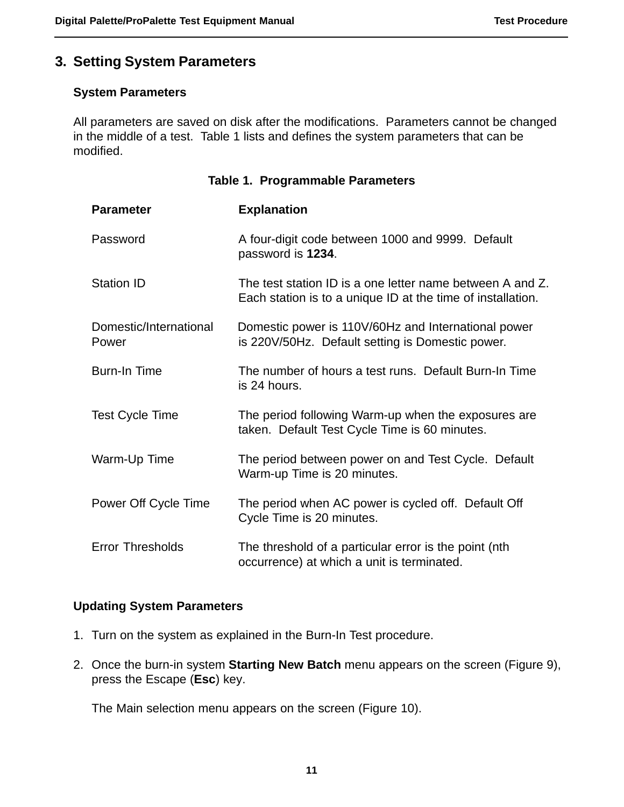### **3. Setting System Parameters**

### **System Parameters**

All parameters are saved on disk after the modifications. Parameters cannot be changed in the middle of a test. Table 1 lists and defines the system parameters that can be modified.

| Table 1. Programmable Parameters |                                                                                                                          |  |  |  |  |  |  |
|----------------------------------|--------------------------------------------------------------------------------------------------------------------------|--|--|--|--|--|--|
| <b>Parameter</b>                 | <b>Explanation</b>                                                                                                       |  |  |  |  |  |  |
| Password                         | A four-digit code between 1000 and 9999. Default<br>password is 1234.                                                    |  |  |  |  |  |  |
| <b>Station ID</b>                | The test station ID is a one letter name between A and Z.<br>Each station is to a unique ID at the time of installation. |  |  |  |  |  |  |
| Domestic/International<br>Power  | Domestic power is 110V/60Hz and International power<br>is 220V/50Hz. Default setting is Domestic power.                  |  |  |  |  |  |  |
| <b>Burn-In Time</b>              | The number of hours a test runs. Default Burn-In Time<br>is 24 hours.                                                    |  |  |  |  |  |  |
| <b>Test Cycle Time</b>           | The period following Warm-up when the exposures are<br>taken. Default Test Cycle Time is 60 minutes.                     |  |  |  |  |  |  |
| Warm-Up Time                     | The period between power on and Test Cycle. Default<br>Warm-up Time is 20 minutes.                                       |  |  |  |  |  |  |
| Power Off Cycle Time             | The period when AC power is cycled off. Default Off<br>Cycle Time is 20 minutes.                                         |  |  |  |  |  |  |
| <b>Error Thresholds</b>          | The threshold of a particular error is the point (nth<br>occurrence) at which a unit is terminated.                      |  |  |  |  |  |  |

#### **Updating System Parameters**

- 1. Turn on the system as explained in the Burn-In Test procedure.
- 2. Once the burn-in system **Starting New Batch** menu appears on the screen (Figure 9), press the Escape (**Esc**) key.

The Main selection menu appears on the screen (Figure 10).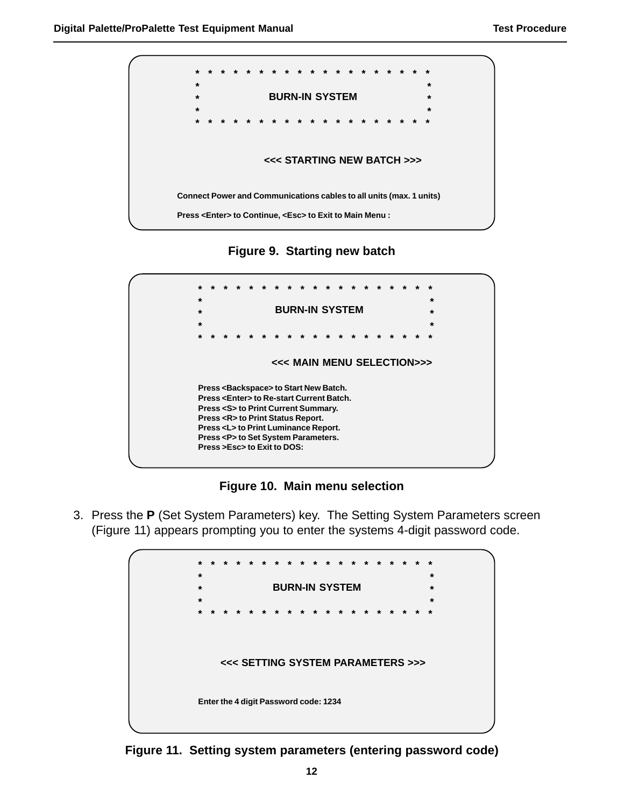

**Figure 9. Starting new batch**



**Figure 10. Main menu selection**

3. Press the **P** (Set System Parameters) key. The Setting System Parameters screen (Figure 11) appears prompting you to enter the systems 4-digit password code.



**Figure 11. Setting system parameters (entering password code)**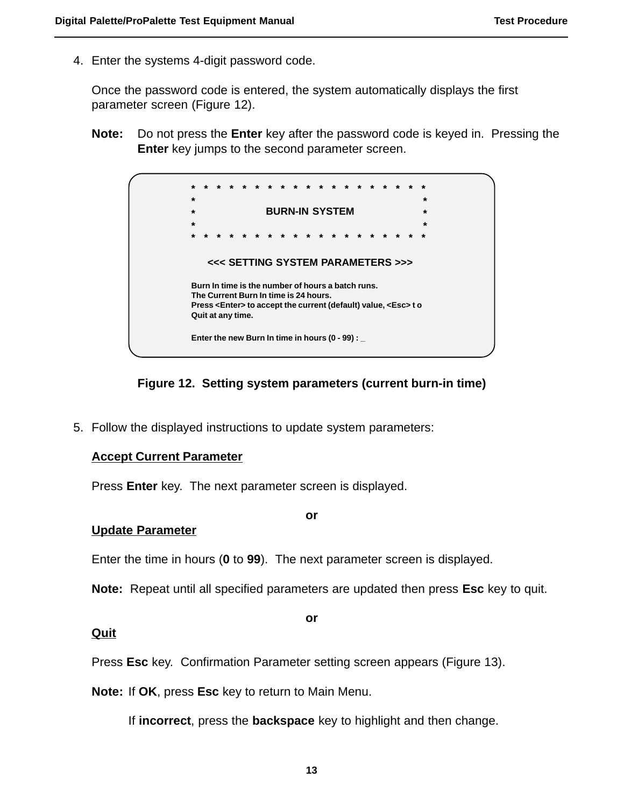4. Enter the systems 4-digit password code.

Once the password code is entered, the system automatically displays the first parameter screen (Figure 12).

**Note:** Do not press the **Enter** key after the password code is keyed in. Pressing the **Enter** key jumps to the second parameter screen.



### **Figure 12. Setting system parameters (current burn-in time)**

5. Follow the displayed instructions to update system parameters:

#### **Accept Current Parameter**

Press **Enter** key. The next parameter screen is displayed.

#### **or**

#### **Update Parameter**

Enter the time in hours (**0** to **99**). The next parameter screen is displayed.

**Note:** Repeat until all specified parameters are updated then press **Esc** key to quit.

#### **or**

### **Quit**

Press **Esc** key. Confirmation Parameter setting screen appears (Figure 13).

**Note:** If **OK**, press **Esc** key to return to Main Menu.

If **incorrect**, press the **backspace** key to highlight and then change.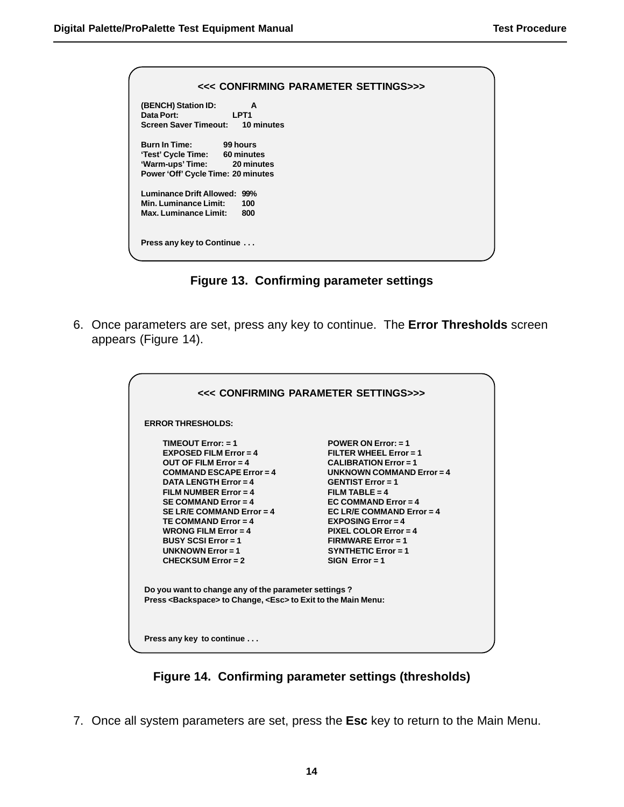| <<< CONFIRMING PARAMETER SETTINGS>>>                                                                                               |
|------------------------------------------------------------------------------------------------------------------------------------|
| (BENCH) Station ID:<br>A                                                                                                           |
| Data Port: The Contract of the Contract of the Contract of the Contract of the Contract of the Contract of the<br>LPT <sub>1</sub> |
| Screen Saver Timeout: 10 minutes                                                                                                   |
| Burn In Time: 99 hours                                                                                                             |
| 'Test' Cycle Time: 60 minutes                                                                                                      |
| 'Warm-ups' Time: 20 minutes                                                                                                        |
| Power 'Off' Cycle Time: 20 minutes                                                                                                 |
| Luminance Drift Allowed: 99%                                                                                                       |
| Min. Luminance Limit:<br>100                                                                                                       |
| Max. Luminance Limit:<br>800                                                                                                       |
| Press any key to Continue                                                                                                          |

**Figure 13. Confirming parameter settings**

6. Once parameters are set, press any key to continue. The **Error Thresholds** screen appears (Figure 14).

|                                                                                                                                                                                                                                                                                                                                                                                   | <<< CONFIRMING PARAMETER SETTINGS>>>                                                                                                                                                                                                                                                                                                                                       |
|-----------------------------------------------------------------------------------------------------------------------------------------------------------------------------------------------------------------------------------------------------------------------------------------------------------------------------------------------------------------------------------|----------------------------------------------------------------------------------------------------------------------------------------------------------------------------------------------------------------------------------------------------------------------------------------------------------------------------------------------------------------------------|
| <b>ERROR THRESHOLDS:</b>                                                                                                                                                                                                                                                                                                                                                          |                                                                                                                                                                                                                                                                                                                                                                            |
| <b>TIMEOUT Error: <math>= 1</math></b><br>EXPOSED FILM Error = $4$<br>OUT OF FILM Error $=$ 4<br>COMMAND ESCAPE Error = $4$<br>DATA LENGTH $Error = 4$<br>FILM NUMBER Error = $4$<br>SE COMMAND Error = $4$<br>SE LR/E COMMAND Error = $4$<br>TE COMMAND Error $=$ 4<br><b>WRONG FILM Error = 4</b><br><b>BUSY SCSI Error = 1</b><br>UNKNOWN $Error = 1$<br>$CHFCKSIJM Error = 2$ | <b>POWER ON Error: <math>= 1</math></b><br>FILTER WHEEL Error = $1$<br>$CALIBRATION Error = 1$<br>UNKNOWN COMMAND Error = $4$<br><b>GENTIST Error = 1</b><br>FII M TARI F = $4$<br>EC COMMAND Error = $4$<br>EC LR/E COMMAND Error = $4$<br>EXPOSING Error = $4$<br><b>PIXEL COLOR Error = 4</b><br><b>FIRMWARE Error = 1</b><br>SYNTHETIC Error = $1$<br>$SIGN Error = 1$ |
| Do you want to change any of the parameter settings?<br>Press <backspace> to Change, <esc> to Exit to the Main Menu:</esc></backspace>                                                                                                                                                                                                                                            |                                                                                                                                                                                                                                                                                                                                                                            |
| Press any key to continue                                                                                                                                                                                                                                                                                                                                                         |                                                                                                                                                                                                                                                                                                                                                                            |



7. Once all system parameters are set, press the **Esc** key to return to the Main Menu.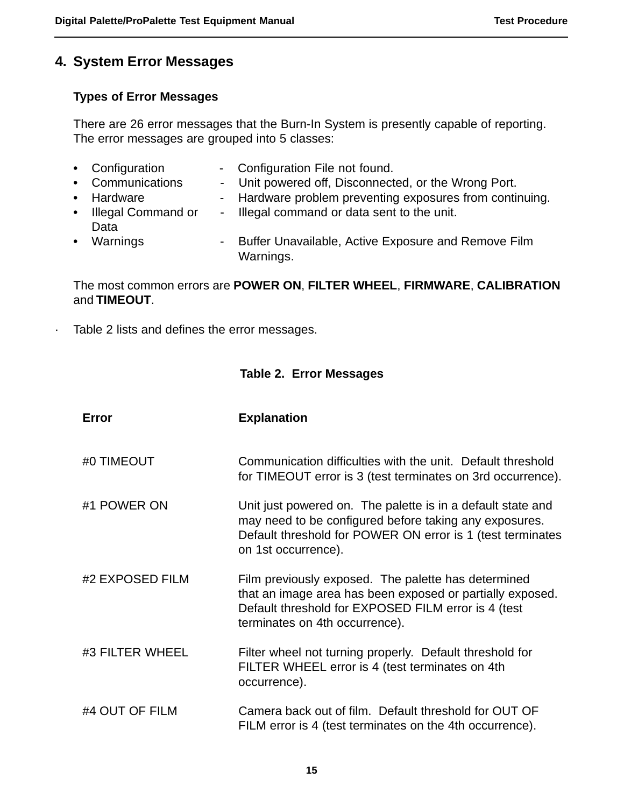### **4. System Error Messages**

### **Types of Error Messages**

There are 26 error messages that the Burn-In System is presently capable of reporting. The error messages are grouped into 5 classes:

| • Configuration<br>• Communications | - Configuration File not found.<br>- Unit powered off, Disconnected, or the Wrong Port. |
|-------------------------------------|-----------------------------------------------------------------------------------------|
|                                     |                                                                                         |
| • Hardware                          | - Hardware problem preventing exposures from continuing.                                |
| • Illegal Command or                | - Illegal command or data sent to the unit.                                             |
| Data                                |                                                                                         |
| • Warnings                          | - Buffer Unavailable, Active Exposure and Remove Film<br>Warnings.                      |

### The most common errors are **POWER ON**, **FILTER WHEEL**, **FIRMWARE**, **CALIBRATION** and **TIMEOUT**.

· Table 2 lists and defines the error messages.

### **Table 2. Error Messages**

| <b>Error</b>    | <b>Explanation</b>                                                                                                                                                                                         |
|-----------------|------------------------------------------------------------------------------------------------------------------------------------------------------------------------------------------------------------|
| #0 TIMEOUT      | Communication difficulties with the unit. Default threshold<br>for TIMEOUT error is 3 (test terminates on 3rd occurrence).                                                                                 |
| #1 POWER ON     | Unit just powered on. The palette is in a default state and<br>may need to be configured before taking any exposures.<br>Default threshold for POWER ON error is 1 (test terminates<br>on 1st occurrence). |
| #2 EXPOSED FILM | Film previously exposed. The palette has determined<br>that an image area has been exposed or partially exposed.<br>Default threshold for EXPOSED FILM error is 4 (test<br>terminates on 4th occurrence).  |
| #3 FILTER WHEEL | Filter wheel not turning properly. Default threshold for<br>FILTER WHEEL error is 4 (test terminates on 4th<br>occurrence).                                                                                |
| #4 OUT OF FILM  | Camera back out of film. Default threshold for OUT OF<br>FILM error is 4 (test terminates on the 4th occurrence).                                                                                          |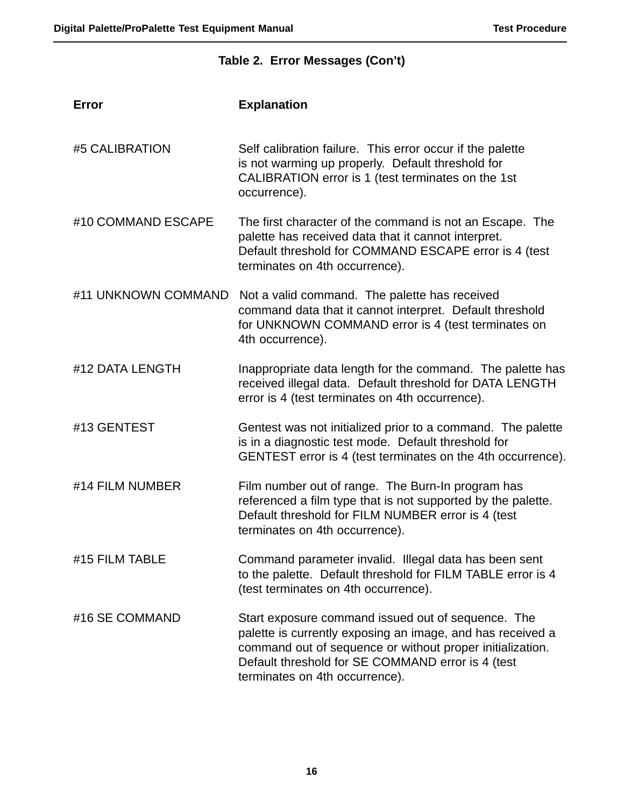|                     | Table 2. Error Messages (Con't)                                                                                                                                                                                                                                      |  |  |  |  |  |
|---------------------|----------------------------------------------------------------------------------------------------------------------------------------------------------------------------------------------------------------------------------------------------------------------|--|--|--|--|--|
| Error               | <b>Explanation</b>                                                                                                                                                                                                                                                   |  |  |  |  |  |
| #5 CALIBRATION      | Self calibration failure. This error occur if the palette<br>is not warming up properly. Default threshold for<br>CALIBRATION error is 1 (test terminates on the 1st<br>occurrence).                                                                                 |  |  |  |  |  |
| #10 COMMAND ESCAPE  | The first character of the command is not an Escape. The<br>palette has received data that it cannot interpret.<br>Default threshold for COMMAND ESCAPE error is 4 (test<br>terminates on 4th occurrence).                                                           |  |  |  |  |  |
| #11 UNKNOWN COMMAND | Not a valid command. The palette has received<br>command data that it cannot interpret. Default threshold<br>for UNKNOWN COMMAND error is 4 (test terminates on<br>4th occurrence).                                                                                  |  |  |  |  |  |
| #12 DATA LENGTH     | Inappropriate data length for the command. The palette has<br>received illegal data. Default threshold for DATA LENGTH<br>error is 4 (test terminates on 4th occurrence).                                                                                            |  |  |  |  |  |
| #13 GENTEST         | Gentest was not initialized prior to a command. The palette<br>is in a diagnostic test mode. Default threshold for<br>GENTEST error is 4 (test terminates on the 4th occurrence).                                                                                    |  |  |  |  |  |
| #14 FILM NUMBER     | Film number out of range. The Burn-In program has<br>referenced a film type that is not supported by the palette.<br>Default threshold for FILM NUMBER error is 4 (test<br>terminates on 4th occurrence).                                                            |  |  |  |  |  |
| #15 FILM TABLE      | Command parameter invalid. Illegal data has been sent<br>to the palette. Default threshold for FILM TABLE error is 4<br>(test terminates on 4th occurrence).                                                                                                         |  |  |  |  |  |
| #16 SE COMMAND      | Start exposure command issued out of sequence. The<br>palette is currently exposing an image, and has received a<br>command out of sequence or without proper initialization.<br>Default threshold for SE COMMAND error is 4 (test<br>terminates on 4th occurrence). |  |  |  |  |  |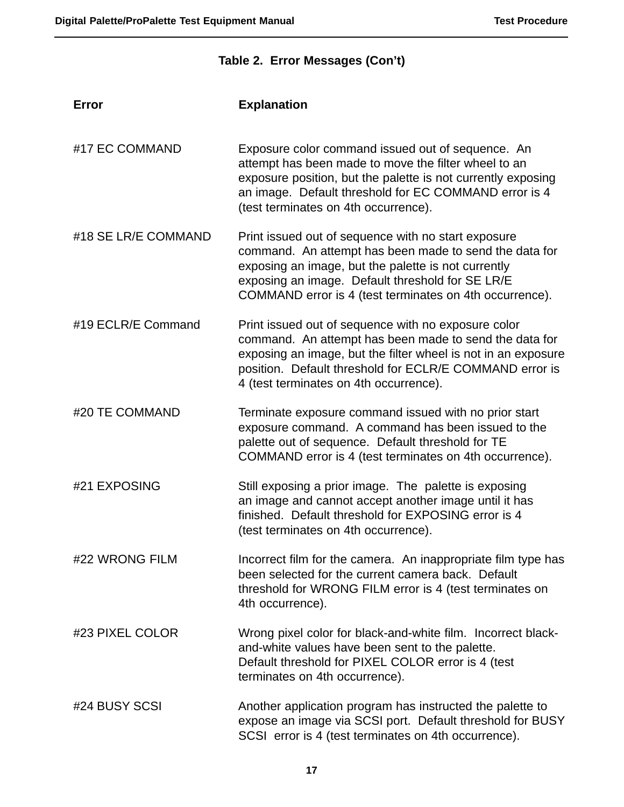### **Table 2. Error Messages (Con't)**

| Error               | <b>Explanation</b>                                                                                                                                                                                                                                                                  |
|---------------------|-------------------------------------------------------------------------------------------------------------------------------------------------------------------------------------------------------------------------------------------------------------------------------------|
| #17 EC COMMAND      | Exposure color command issued out of sequence. An<br>attempt has been made to move the filter wheel to an<br>exposure position, but the palette is not currently exposing<br>an image. Default threshold for EC COMMAND error is 4<br>(test terminates on 4th occurrence).          |
| #18 SE LR/E COMMAND | Print issued out of sequence with no start exposure<br>command. An attempt has been made to send the data for<br>exposing an image, but the palette is not currently<br>exposing an image. Default threshold for SE LR/E<br>COMMAND error is 4 (test terminates on 4th occurrence). |
| #19 ECLR/E Command  | Print issued out of sequence with no exposure color<br>command. An attempt has been made to send the data for<br>exposing an image, but the filter wheel is not in an exposure<br>position. Default threshold for ECLR/E COMMAND error is<br>4 (test terminates on 4th occurrence). |
| #20 TE COMMAND      | Terminate exposure command issued with no prior start<br>exposure command. A command has been issued to the<br>palette out of sequence. Default threshold for TE<br>COMMAND error is 4 (test terminates on 4th occurrence).                                                         |
| #21 EXPOSING        | Still exposing a prior image. The palette is exposing<br>an image and cannot accept another image until it has<br>finished. Default threshold for EXPOSING error is 4<br>(test terminates on 4th occurrence).                                                                       |
| #22 WRONG FILM      | Incorrect film for the camera. An inappropriate film type has<br>been selected for the current camera back. Default<br>threshold for WRONG FILM error is 4 (test terminates on<br>4th occurrence).                                                                                  |
| #23 PIXEL COLOR     | Wrong pixel color for black-and-white film. Incorrect black-<br>and-white values have been sent to the palette.<br>Default threshold for PIXEL COLOR error is 4 (test<br>terminates on 4th occurrence).                                                                             |
| #24 BUSY SCSI       | Another application program has instructed the palette to<br>expose an image via SCSI port. Default threshold for BUSY<br>SCSI error is 4 (test terminates on 4th occurrence).                                                                                                      |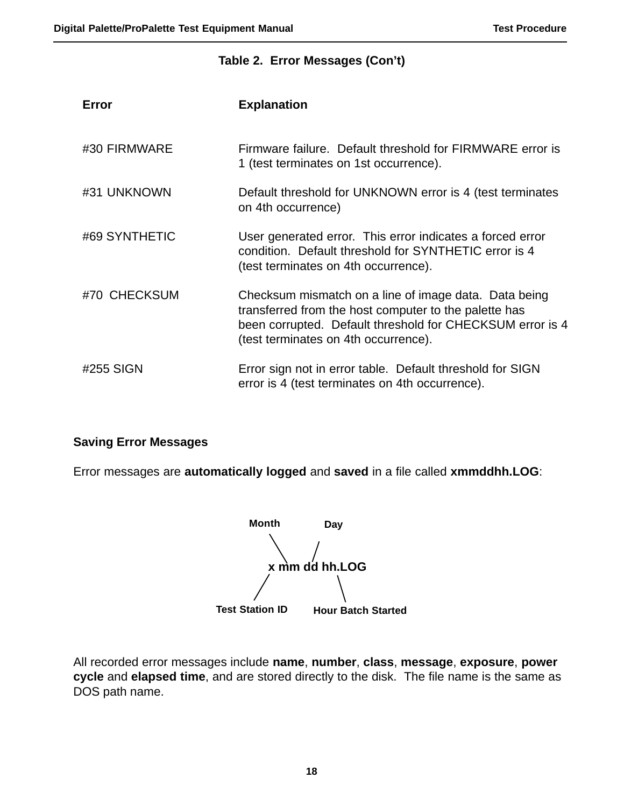#### **Table 2. Error Messages (Con't)**

| <b>Error</b>  | <b>Explanation</b>                                                                                                                                                                                                  |
|---------------|---------------------------------------------------------------------------------------------------------------------------------------------------------------------------------------------------------------------|
| #30 FIRMWARE  | Firmware failure. Default threshold for FIRMWARE error is<br>1 (test terminates on 1st occurrence).                                                                                                                 |
| #31 UNKNOWN   | Default threshold for UNKNOWN error is 4 (test terminates<br>on 4th occurrence)                                                                                                                                     |
| #69 SYNTHETIC | User generated error. This error indicates a forced error<br>condition. Default threshold for SYNTHETIC error is 4<br>(test terminates on 4th occurrence).                                                          |
| #70 CHECKSUM  | Checksum mismatch on a line of image data. Data being<br>transferred from the host computer to the palette has<br>been corrupted. Default threshold for CHECKSUM error is 4<br>(test terminates on 4th occurrence). |
| #255 SIGN     | Error sign not in error table. Default threshold for SIGN<br>error is 4 (test terminates on 4th occurrence).                                                                                                        |

#### **Saving Error Messages**

Error messages are **automatically logged** and **saved** in a file called **xmmddhh.LOG**:

**Month Day x mm dd hh.LOG Test Station ID Hour Batch Started**

All recorded error messages include **name**, **number**, **class**, **message**, **exposure**, **power cycle** and **elapsed time**, and are stored directly to the disk. The file name is the same as DOS path name.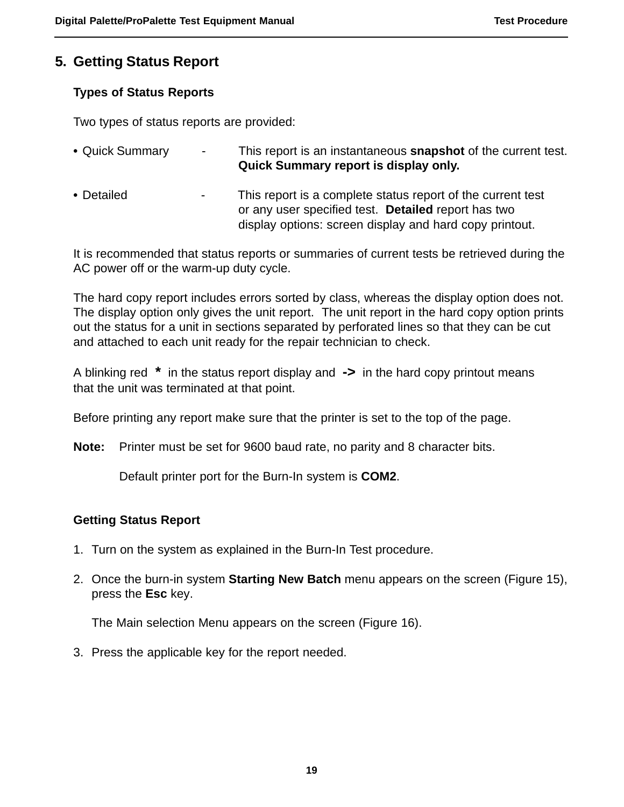### **5. Getting Status Report**

### **Types of Status Reports**

Two types of status reports are provided:

| • Quick Summary | $\sim$ | This report is an instantaneous <b>snapshot</b> of the current test.<br>Quick Summary report is display only.                                                                 |
|-----------------|--------|-------------------------------------------------------------------------------------------------------------------------------------------------------------------------------|
| • Detailed      | $\sim$ | This report is a complete status report of the current test<br>or any user specified test. Detailed report has two<br>display options: screen display and hard copy printout. |

It is recommended that status reports or summaries of current tests be retrieved during the AC power off or the warm-up duty cycle.

The hard copy report includes errors sorted by class, whereas the display option does not. The display option only gives the unit report. The unit report in the hard copy option prints out the status for a unit in sections separated by perforated lines so that they can be cut and attached to each unit ready for the repair technician to check.

A blinking red **\*** in the status report display and **->** in the hard copy printout means that the unit was terminated at that point.

Before printing any report make sure that the printer is set to the top of the page.

**Note:** Printer must be set for 9600 baud rate, no parity and 8 character bits.

Default printer port for the Burn-In system is **COM2**.

#### **Getting Status Report**

- 1. Turn on the system as explained in the Burn-In Test procedure.
- 2. Once the burn-in system **Starting New Batch** menu appears on the screen (Figure 15), press the **Esc** key.

The Main selection Menu appears on the screen (Figure 16).

3. Press the applicable key for the report needed.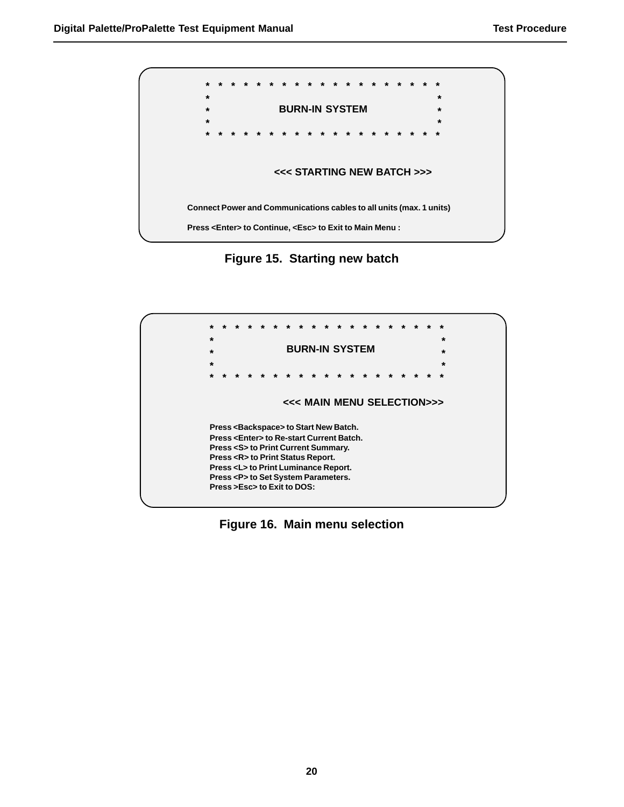

**Figure 15. Starting new batch**



**Figure 16. Main menu selection**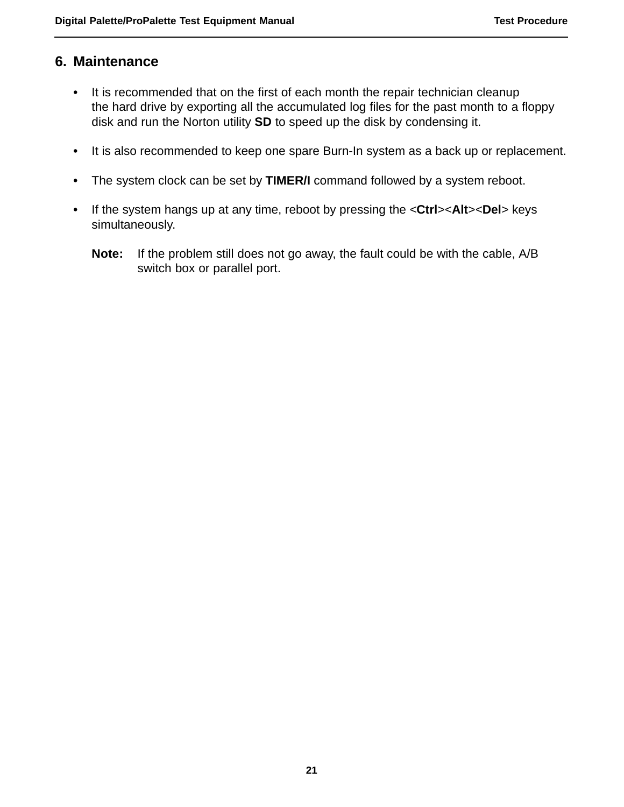### **6. Maintenance**

- **•** It is recommended that on the first of each month the repair technician cleanup the hard drive by exporting all the accumulated log files for the past month to a floppy disk and run the Norton utility **SD** to speed up the disk by condensing it.
- **•** It is also recommended to keep one spare Burn-In system as a back up or replacement.
- **•** The system clock can be set by **TIMER/I** command followed by a system reboot.
- **•** If the system hangs up at any time, reboot by pressing the <**Ctrl**><**Alt**><**Del**> keys simultaneously.
	- **Note:** If the problem still does not go away, the fault could be with the cable, A/B switch box or parallel port.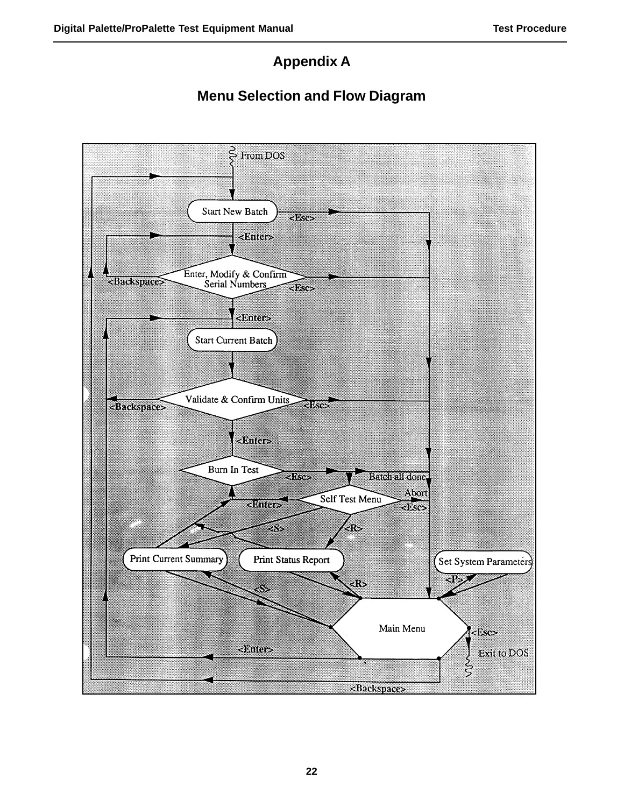### **Appendix A**

### **Menu Selection and Flow Diagram**

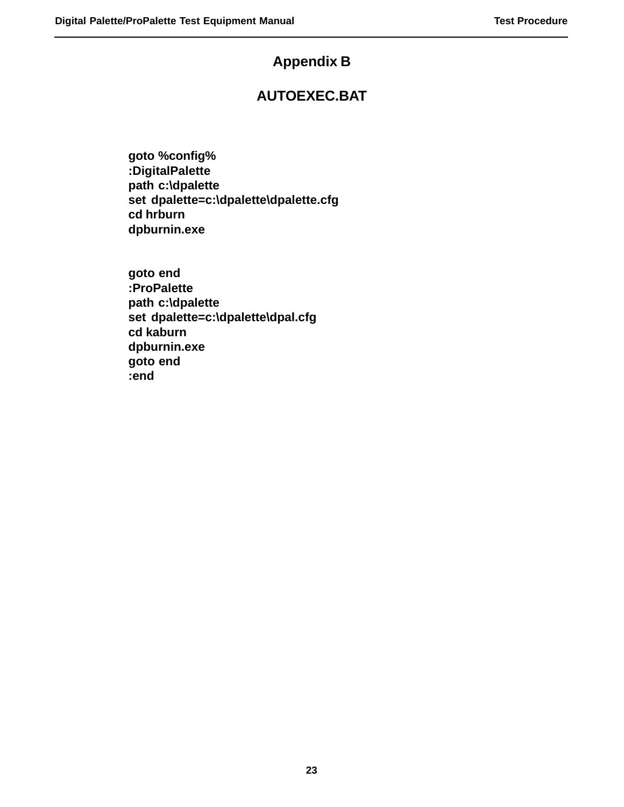### **Appendix B**

### **AUTOEXEC.BAT**

**goto %config% :DigitalPalette path c:\dpalette set dpalette=c:\dpalette\dpalette.cfg cd hrburn dpburnin.exe**

**goto end :ProPalette path c:\dpalette set dpalette=c:\dpalette\dpal.cfg cd kaburn dpburnin.exe goto end :end**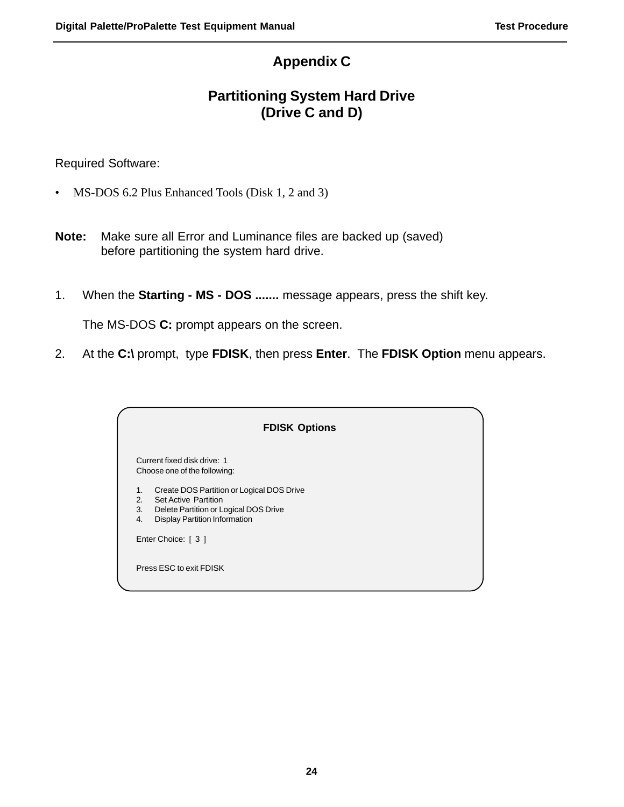### **Appendix C**

### **Partitioning System Hard Drive (Drive C and D)**

Required Software:

- MS-DOS 6.2 Plus Enhanced Tools (Disk 1, 2 and 3)
- **Note:** Make sure all Error and Luminance files are backed up (saved) before partitioning the system hard drive.
- 1. When the **Starting MS DOS .......** message appears, press the shift key.

The MS-DOS **C:** prompt appears on the screen.

2. At the **C:\** prompt, type **FDISK**, then press **Enter**. The **FDISK Option** menu appears.

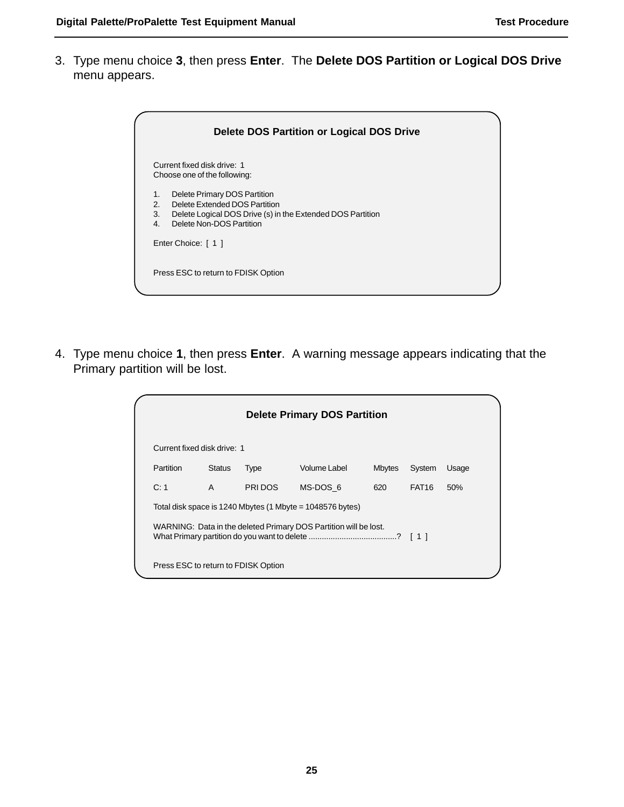3. Type menu choice **3**, then press **Enter**. The **Delete DOS Partition or Logical DOS Drive** menu appears.

|                      | Delete DOS Partition or Logical DOS Drive                                                                                                               |
|----------------------|---------------------------------------------------------------------------------------------------------------------------------------------------------|
|                      | Current fixed disk drive: 1<br>Choose one of the following:                                                                                             |
| 1.<br>2.<br>3.<br>4. | Delete Primary DOS Partition<br>Delete Extended DOS Partition<br>Delete Logical DOS Drive (s) in the Extended DOS Partition<br>Delete Non-DOS Partition |
|                      | Enter Choice: [ 1 ]                                                                                                                                     |
|                      | Press ESC to return to FDISK Option                                                                                                                     |

4. Type menu choice **1**, then press **Enter**. A warning message appears indicating that the Primary partition will be lost.

| <b>Delete Primary DOS Partition</b>                              |               |         |                                                           |               |                   |       |  |
|------------------------------------------------------------------|---------------|---------|-----------------------------------------------------------|---------------|-------------------|-------|--|
| Current fixed disk drive: 1                                      |               |         |                                                           |               |                   |       |  |
| Partition                                                        | <b>Status</b> | Type    | Volume Label                                              | <b>Mbytes</b> | System            | Usage |  |
| C: 1                                                             | A             | PRI DOS | MS-DOS 6                                                  | 620           | FAT <sub>16</sub> | 50%   |  |
|                                                                  |               |         | Total disk space is 1240 Mbytes (1 Mbyte = 1048576 bytes) |               |                   |       |  |
| WARNING: Data in the deleted Primary DOS Partition will be lost. |               |         |                                                           |               |                   |       |  |
| Press ESC to return to FDISK Option                              |               |         |                                                           |               |                   |       |  |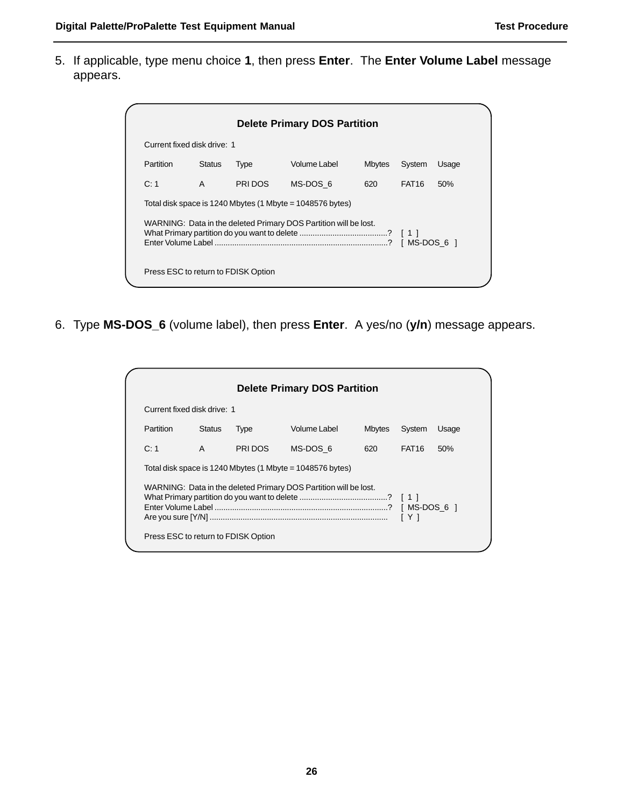5. If applicable, type menu choice **1**, then press **Enter**. The **Enter Volume Label** message appears.

|                                                                                 |               |             | <b>Delete Primary DOS Partition</b>                       |               |              |       |
|---------------------------------------------------------------------------------|---------------|-------------|-----------------------------------------------------------|---------------|--------------|-------|
| Current fixed disk drive: 1                                                     |               |             |                                                           |               |              |       |
| Partition                                                                       | <b>Status</b> | <b>Type</b> | Volume Label                                              | <b>Mbytes</b> | System       | Usage |
| C:1                                                                             | $\mathsf{A}$  | PRI DOS     | MS-DOS 6                                                  | 620           | <b>FAT16</b> | 50%   |
|                                                                                 |               |             | Total disk space is 1240 Mbytes (1 Mbyte = 1048576 bytes) |               |              |       |
| WARNING: Data in the deleted Primary DOS Partition will be lost.<br>IMS-DOS 6 1 |               |             |                                                           |               |              |       |
| Press ESC to return to FDISK Option                                             |               |             |                                                           |               |              |       |

6. Type **MS-DOS\_6** (volume label), then press **Enter**. A yes/no (**y/n**) message appears.

| <b>Delete Primary DOS Partition</b>                                                       |               |             |                                                           |               |                   |       |
|-------------------------------------------------------------------------------------------|---------------|-------------|-----------------------------------------------------------|---------------|-------------------|-------|
| Current fixed disk drive: 1                                                               |               |             |                                                           |               |                   |       |
| Partition                                                                                 | <b>Status</b> | <b>Type</b> | Volume Label                                              | <b>Mbytes</b> | System            | Usage |
| C: 1                                                                                      | $\mathsf{A}$  | PRI DOS     | MS-DOS 6                                                  | 620           | FAT <sub>16</sub> | 50%   |
|                                                                                           |               |             | Total disk space is 1240 Mbytes (1 Mbyte = 1048576 bytes) |               |                   |       |
| WARNING: Data in the deleted Primary DOS Partition will be lost.<br>[ MS-DOS 6 ]<br>1 Y 1 |               |             |                                                           |               |                   |       |
| Press ESC to return to FDISK Option                                                       |               |             |                                                           |               |                   |       |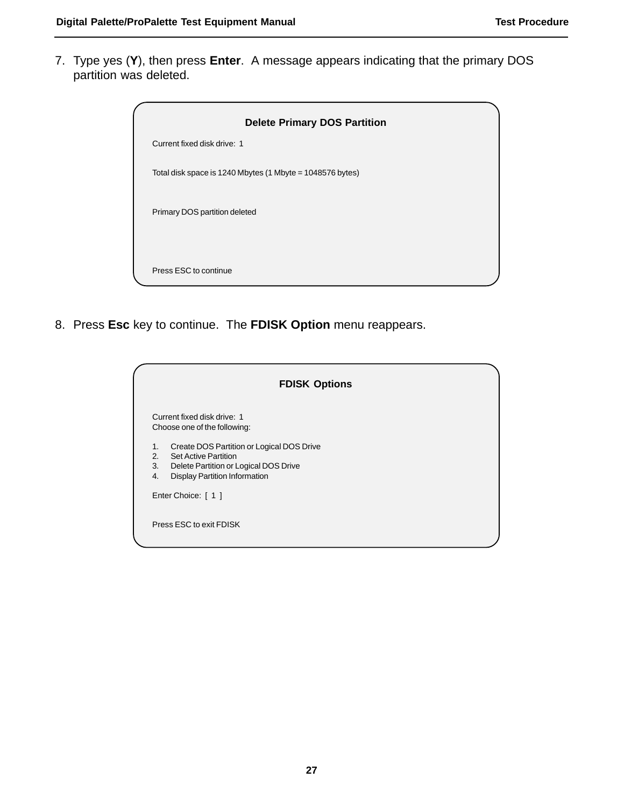7. Type yes (**Y**), then press **Enter**. A message appears indicating that the primary DOS partition was deleted.



8. Press **Esc** key to continue. The **FDISK Option** menu reappears.

| <b>FDISK Options</b>                                                                                                                                                              |  |
|-----------------------------------------------------------------------------------------------------------------------------------------------------------------------------------|--|
| Current fixed disk drive: 1<br>Choose one of the following:                                                                                                                       |  |
| Create DOS Partition or Logical DOS Drive<br>1.<br><b>Set Active Partition</b><br>2.<br>3.<br>Delete Partition or Logical DOS Drive<br><b>Display Partition Information</b><br>4. |  |
| Enter Choice: [ 1 ]                                                                                                                                                               |  |
| Press ESC to exit FDISK                                                                                                                                                           |  |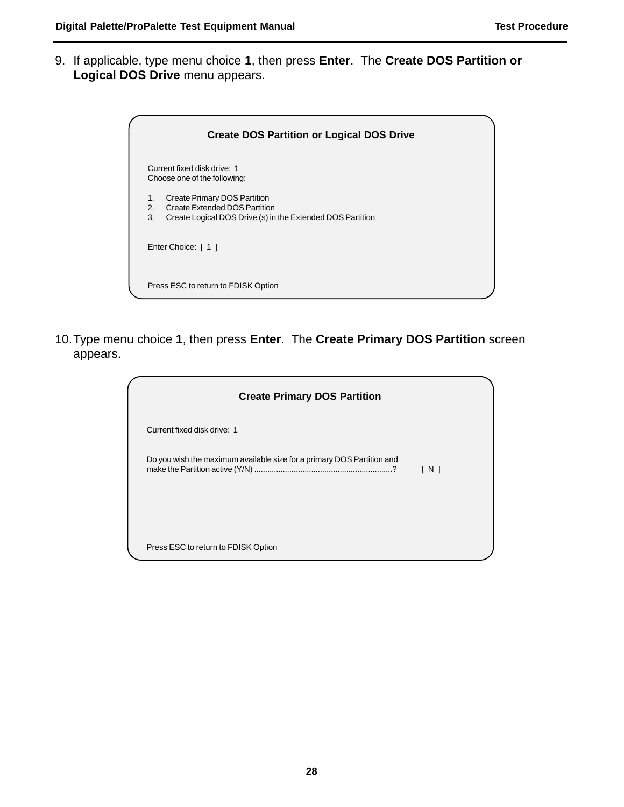9. If applicable, type menu choice **1**, then press **Enter**. The **Create DOS Partition or Logical DOS Drive** menu appears.

|                | <b>Create DOS Partition or Logical DOS Drive</b>                                                                            |
|----------------|-----------------------------------------------------------------------------------------------------------------------------|
|                | Current fixed disk drive: 1<br>Choose one of the following:                                                                 |
| 1.<br>2.<br>3. | Create Primary DOS Partition<br>Create Extended DOS Partition<br>Create Logical DOS Drive (s) in the Extended DOS Partition |
|                | Enter Choice: [ 1 ]                                                                                                         |
|                | Press ESC to return to FDISK Option                                                                                         |

10.Type menu choice **1**, then press **Enter**. The **Create Primary DOS Partition** screen appears.

| <b>Create Primary DOS Partition</b>                                    |                   |  |
|------------------------------------------------------------------------|-------------------|--|
| Current fixed disk drive: 1                                            |                   |  |
| Do you wish the maximum available size for a primary DOS Partition and | $\lceil N \rceil$ |  |
| Press ESC to return to FDISK Option                                    |                   |  |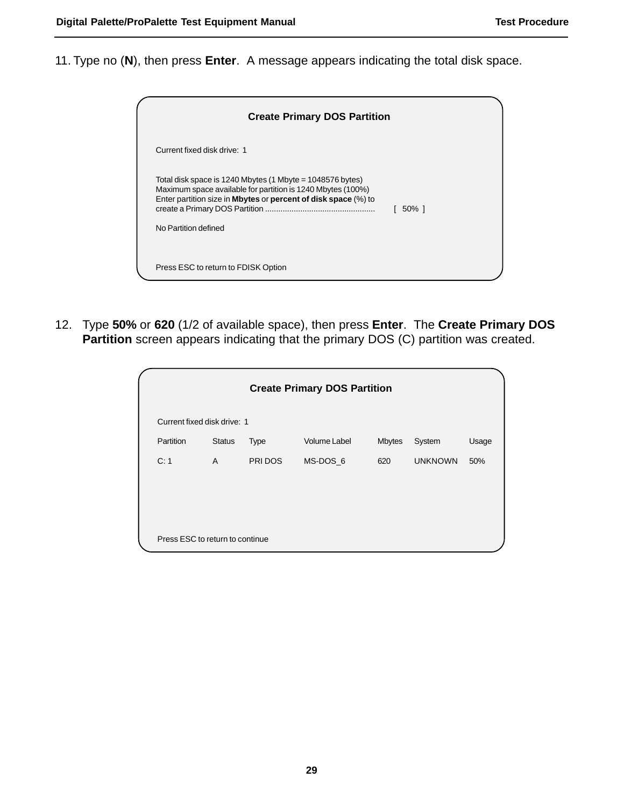11. Type no (**N**), then press **Enter**. A message appears indicating the total disk space.



12. Type **50%** or **620** (1/2 of available space), then press **Enter**. The **Create Primary DOS Partition** screen appears indicating that the primary DOS (C) partition was created.

|                                 |               |             | <b>Create Primary DOS Partition</b> |               |                |       |
|---------------------------------|---------------|-------------|-------------------------------------|---------------|----------------|-------|
| Current fixed disk drive: 1     |               |             |                                     |               |                |       |
| Partition                       | <b>Status</b> | <b>Type</b> | <b>Volume Label</b>                 | <b>Mbytes</b> | System         | Usage |
| C: 1                            | $\mathsf{A}$  | PRI DOS     | MS-DOS 6                            | 620           | <b>UNKNOWN</b> | 50%   |
|                                 |               |             |                                     |               |                |       |
|                                 |               |             |                                     |               |                |       |
|                                 |               |             |                                     |               |                |       |
| Press ESC to return to continue |               |             |                                     |               |                |       |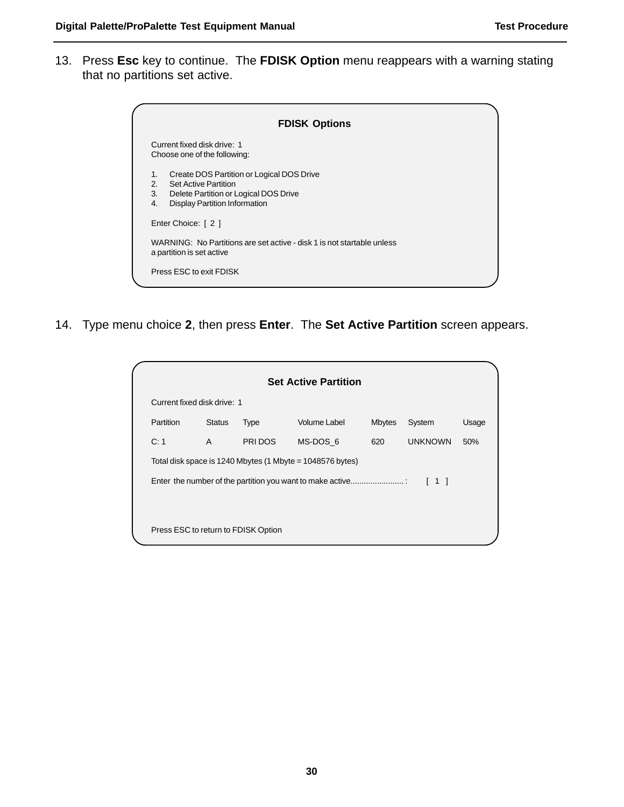13. Press **Esc** key to continue. The **FDISK Option** menu reappears with a warning stating that no partitions set active.

|                      | <b>FDISK Options</b>                                                                                                                                      |
|----------------------|-----------------------------------------------------------------------------------------------------------------------------------------------------------|
|                      | Current fixed disk drive: 1<br>Choose one of the following:                                                                                               |
| 1.<br>2.<br>3.<br>4. | Create DOS Partition or Logical DOS Drive<br><b>Set Active Partition</b><br>Delete Partition or Logical DOS Drive<br><b>Display Partition Information</b> |
|                      | Enter Choice: [ 2 ]                                                                                                                                       |
|                      | WARNING: No Partitions are set active - disk 1 is not startable unless<br>a partition is set active                                                       |
|                      | Press ESC to exit FDISK                                                                                                                                   |

14. Type menu choice **2**, then press **Enter**. The **Set Active Partition** screen appears.

|                                     |               |             | <b>Set Active Partition</b>                               |               |                                   |       |  |  |
|-------------------------------------|---------------|-------------|-----------------------------------------------------------|---------------|-----------------------------------|-------|--|--|
| Current fixed disk drive: 1         |               |             |                                                           |               |                                   |       |  |  |
| Partition                           | <b>Status</b> | <b>Type</b> | Volume Label                                              | <b>Mbytes</b> | System                            | Usage |  |  |
| C: 1                                | A             | PRI DOS     | MS-DOS 6                                                  | 620           | <b>UNKNOWN</b>                    | 50%   |  |  |
|                                     |               |             | Total disk space is 1240 Mbytes (1 Mbyte = 1048576 bytes) |               |                                   |       |  |  |
|                                     |               |             | Enter the number of the partition you want to make active |               | $\begin{bmatrix} 1 \end{bmatrix}$ |       |  |  |
|                                     |               |             |                                                           |               |                                   |       |  |  |
| Press ESC to return to FDISK Option |               |             |                                                           |               |                                   |       |  |  |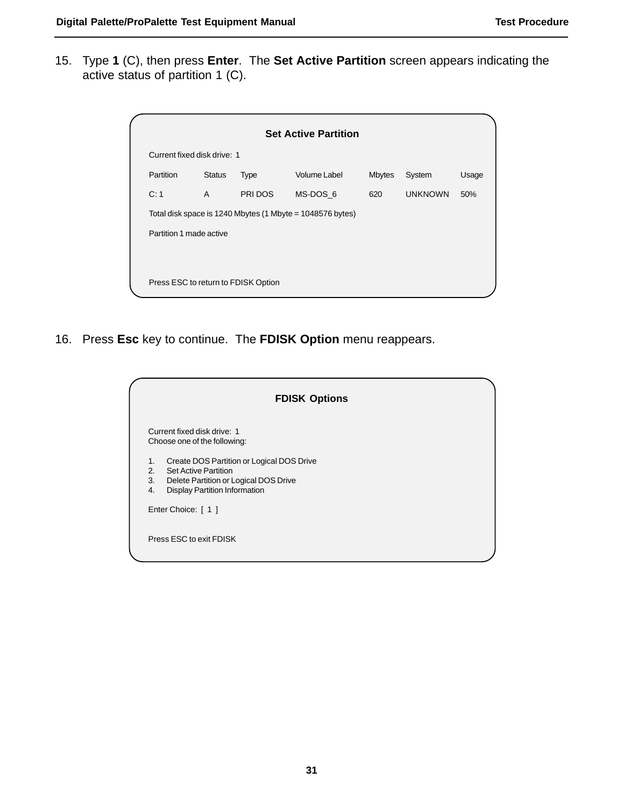15. Type **1** (C), then press **Enter**. The **Set Active Partition** screen appears indicating the active status of partition 1 (C).

|                             |               |                                     | <b>Set Active Partition</b>                               |               |                |       |
|-----------------------------|---------------|-------------------------------------|-----------------------------------------------------------|---------------|----------------|-------|
| Current fixed disk drive: 1 |               |                                     |                                                           |               |                |       |
| Partition                   | <b>Status</b> | <b>Type</b>                         | Volume Label                                              | <b>Mbytes</b> | System         | Usage |
| C: 1                        | $\mathsf{A}$  | PRI DOS                             | MS-DOS 6                                                  | 620           | <b>UNKNOWN</b> | 50%   |
|                             |               |                                     | Total disk space is 1240 Mbytes (1 Mbyte = 1048576 bytes) |               |                |       |
| Partition 1 made active     |               |                                     |                                                           |               |                |       |
|                             |               |                                     |                                                           |               |                |       |
|                             |               | Press ESC to return to FDISK Option |                                                           |               |                |       |

16. Press **Esc** key to continue. The **FDISK Option** menu reappears.

| <b>FDISK Options</b>                                                                                                                                                              |  |
|-----------------------------------------------------------------------------------------------------------------------------------------------------------------------------------|--|
| Current fixed disk drive: 1<br>Choose one of the following:                                                                                                                       |  |
| Create DOS Partition or Logical DOS Drive<br>1.<br><b>Set Active Partition</b><br>2.<br>3.<br>Delete Partition or Logical DOS Drive<br>4.<br><b>Display Partition Information</b> |  |
| Enter Choice: [ 1 ]                                                                                                                                                               |  |
| Press ESC to exit FDISK                                                                                                                                                           |  |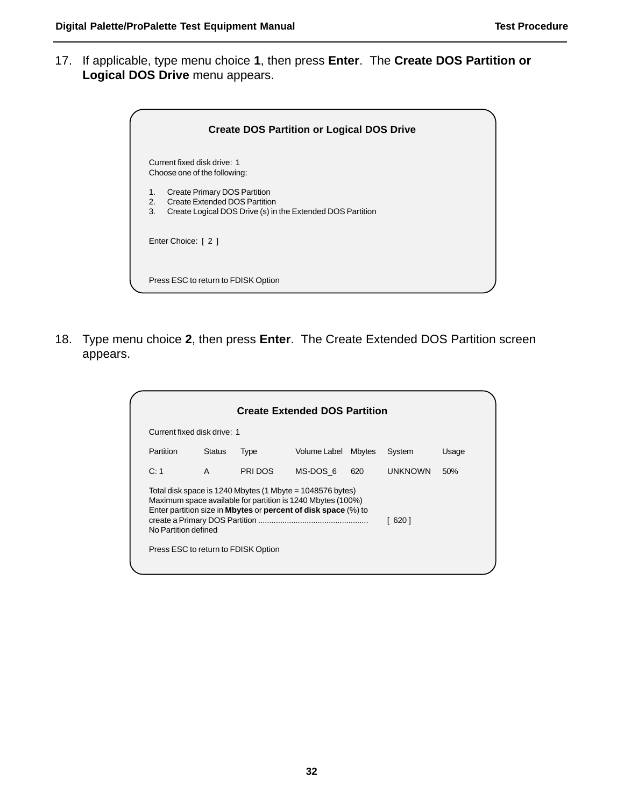17. If applicable, type menu choice **1**, then press **Enter**. The **Create DOS Partition or Logical DOS Drive** menu appears.

| <b>Create DOS Partition or Logical DOS Drive</b>                                                                                                          |  |
|-----------------------------------------------------------------------------------------------------------------------------------------------------------|--|
| Current fixed disk drive: 1<br>Choose one of the following:                                                                                               |  |
| Create Primary DOS Partition<br>1.<br>Create Extended DOS Partition<br>2 <sub>1</sub><br>Create Logical DOS Drive (s) in the Extended DOS Partition<br>3. |  |
| Enter Choice: [ 2 ]                                                                                                                                       |  |
| Press ESC to return to FDISK Option                                                                                                                       |  |

18. Type menu choice **2**, then press **Enter**. The Create Extended DOS Partition screen appears.

| Current fixed disk drive: 1 |               |                                     |                                                                                                                                                                                                            |               |                |       |  |  |  |
|-----------------------------|---------------|-------------------------------------|------------------------------------------------------------------------------------------------------------------------------------------------------------------------------------------------------------|---------------|----------------|-------|--|--|--|
| Partition                   | <b>Status</b> | Type                                | Volume Label                                                                                                                                                                                               | <b>Mbytes</b> | System         | Usage |  |  |  |
| C: 1                        | A             | PRI DOS                             | MS-DOS 6                                                                                                                                                                                                   | 620           | <b>UNKNOWN</b> | 50%   |  |  |  |
| No Partition defined        |               | Press ESC to return to FDISK Option | Total disk space is 1240 Mbytes (1 Mbyte = $1048576$ bytes)<br>Maximum space available for partition is 1240 Mbytes (100%)<br>Enter partition size in <b>Mbytes</b> or <b>percent of disk space</b> (%) to |               | 620 1          |       |  |  |  |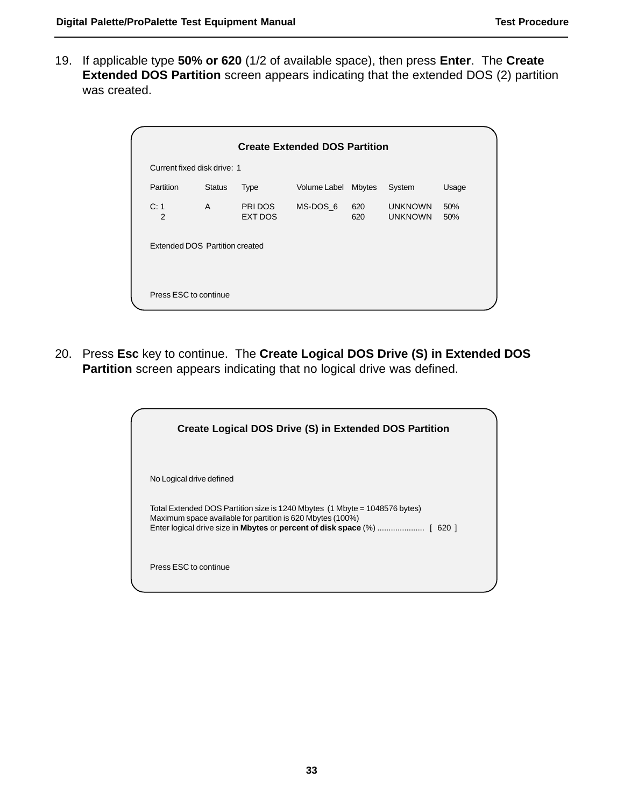19. If applicable type **50% or 620** (1/2 of available space), then press **Enter**. The **Create Extended DOS Partition** screen appears indicating that the extended DOS (2) partition was created.

|                        | Current fixed disk drive: 1    |                           | <b>Create Extended DOS Partition</b> |            |                                  |            |
|------------------------|--------------------------------|---------------------------|--------------------------------------|------------|----------------------------------|------------|
| <b>Partition</b>       | <b>Status</b>                  | <b>Type</b>               | Volume Label Mbytes                  |            | System                           | Usage      |
| C: 1<br>$\overline{2}$ | $\mathsf{A}$                   | PRI DOS<br><b>EXT DOS</b> | MS-DOS 6                             | 620<br>620 | <b>UNKNOWN</b><br><b>UNKNOWN</b> | 50%<br>50% |
|                        | Extended DOS Partition created |                           |                                      |            |                                  |            |
|                        |                                |                           |                                      |            |                                  |            |
|                        |                                |                           |                                      |            |                                  |            |

20. Press **Esc** key to continue. The **Create Logical DOS Drive (S) in Extended DOS Partition** screen appears indicating that no logical drive was defined.

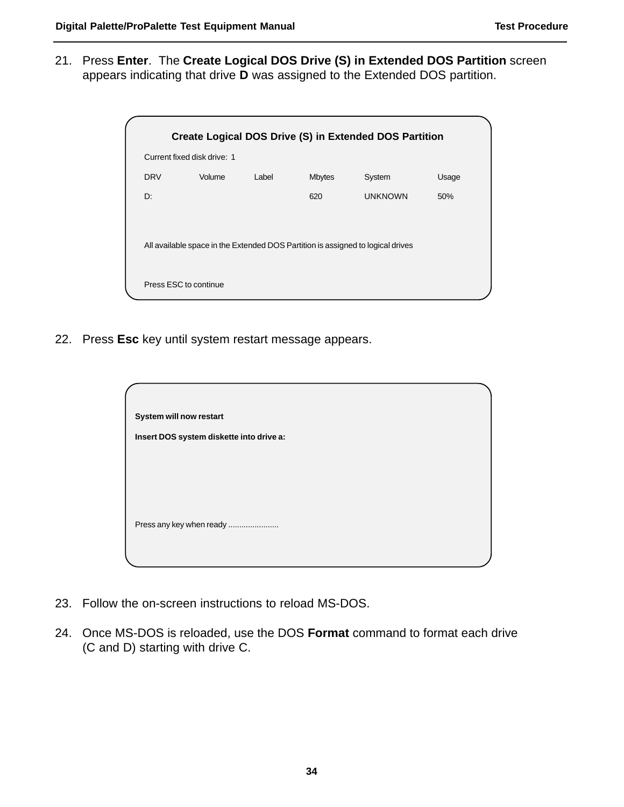21. Press **Enter**. The **Create Logical DOS Drive (S) in Extended DOS Partition** screen appears indicating that drive **D** was assigned to the Extended DOS partition.

|                             |        |       |               | Create Logical DOS Drive (S) in Extended DOS Partition                          |       |
|-----------------------------|--------|-------|---------------|---------------------------------------------------------------------------------|-------|
| Current fixed disk drive: 1 |        |       |               |                                                                                 |       |
| <b>DRV</b>                  | Volume | Label | <b>Mbytes</b> | System                                                                          | Usage |
| D:                          |        |       | 620           | <b>UNKNOWN</b>                                                                  | 50%   |
|                             |        |       |               |                                                                                 |       |
|                             |        |       |               | All available space in the Extended DOS Partition is assigned to logical drives |       |
| Press ESC to continue       |        |       |               |                                                                                 |       |

22. Press **Esc** key until system restart message appears.

| System will now restart                  |  |
|------------------------------------------|--|
| Insert DOS system diskette into drive a: |  |
|                                          |  |
|                                          |  |
|                                          |  |
| Press any key when ready                 |  |
|                                          |  |
|                                          |  |

- 23. Follow the on-screen instructions to reload MS-DOS.
- 24. Once MS-DOS is reloaded, use the DOS **Format** command to format each drive (C and D) starting with drive C.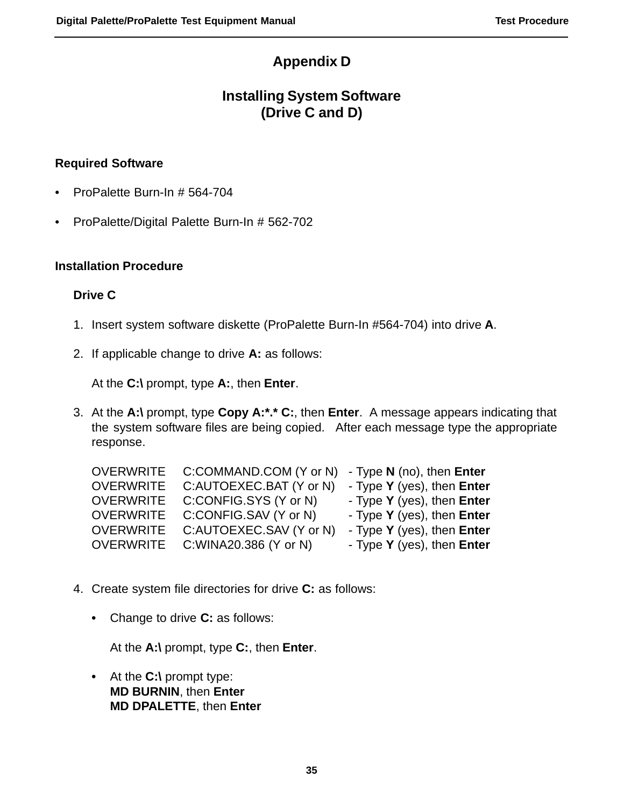### **Appendix D**

### **Installing System Software (Drive C and D)**

### **Required Software**

- **•** ProPalette Burn-In # 564-704
- **•** ProPalette/Digital Palette Burn-In # 562-702

#### **Installation Procedure**

#### **Drive C**

- 1. Insert system software diskette (ProPalette Burn-In #564-704) into drive **A**.
- 2. If applicable change to drive **A:** as follows:

At the **C:\** prompt, type **A:**, then **Enter**.

3. At the **A:\** prompt, type **Copy A:\*.\* C:**, then **Enter**. A message appears indicating that the system software files are being copied. After each message type the appropriate response.

| <b>OVERWRITE</b> | C:COMMAND.COM (Y or N)  | - Type $N$ (no), then Enter |
|------------------|-------------------------|-----------------------------|
| <b>OVERWRITE</b> | C:AUTOEXEC.BAT (Y or N) | - Type Y (yes), then Enter  |
| <b>OVERWRITE</b> | C:CONFIG.SYS (Y or N)   | - Type Y (yes), then Enter  |
| <b>OVERWRITE</b> | C:CONFIG.SAV (Y or N)   | - Type Y (yes), then Enter  |
| <b>OVERWRITE</b> | C:AUTOEXEC.SAV (Y or N) | - Type Y (yes), then Enter  |
| <b>OVERWRITE</b> | C: WINA20.386 (Y or N)  | - Type Y (yes), then Enter  |

- 4. Create system file directories for drive **C:** as follows:
	- **•** Change to drive **C:** as follows:

At the **A:\** prompt, type **C:**, then **Enter**.

**•** At the **C:\** prompt type: **MD BURNIN**, then **Enter MD DPALETTE**, then **Enter**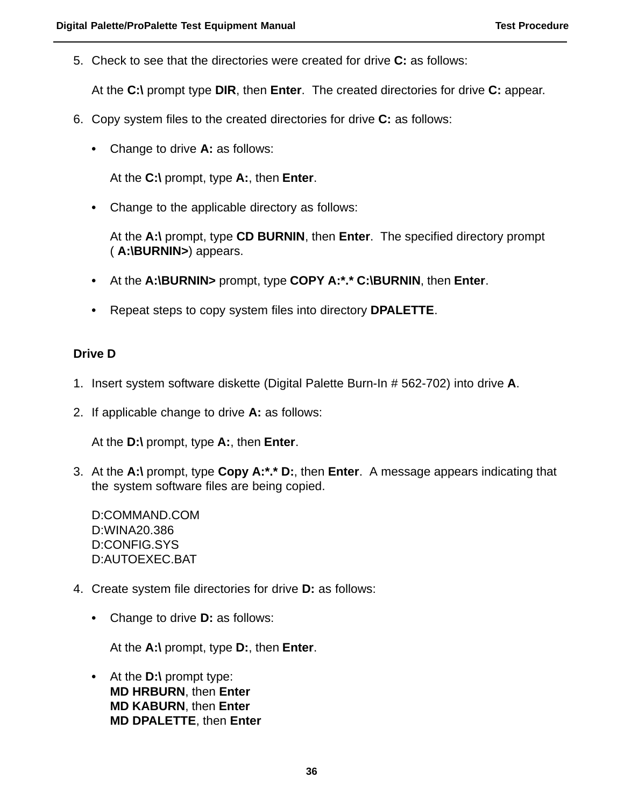5. Check to see that the directories were created for drive **C:** as follows:

At the **C:\** prompt type **DIR**, then **Enter**. The created directories for drive **C:** appear.

- 6. Copy system files to the created directories for drive **C:** as follows:
	- **•** Change to drive **A:** as follows:

At the **C:\** prompt, type **A:**, then **Enter**.

**•** Change to the applicable directory as follows:

At the **A:\** prompt, type **CD BURNIN**, then **Enter**. The specified directory prompt ( **A:\BURNIN>**) appears.

- **•** At the **A:\BURNIN>** prompt, type **COPY A:\*.\* C:\BURNIN**, then **Enter**.
- **•** Repeat steps to copy system files into directory **DPALETTE**.

#### **Drive D**

- 1. Insert system software diskette (Digital Palette Burn-In # 562-702) into drive **A**.
- 2. If applicable change to drive **A:** as follows:

At the **D:\** prompt, type **A:**, then **Enter**.

3. At the **A:\** prompt, type **Copy A:\*.\* D:**, then **Enter**. A message appears indicating that the system software files are being copied.

D:COMMAND.COM D:WINA20.386 D:CONFIG.SYS D:AUTOEXEC.BAT

- 4. Create system file directories for drive **D:** as follows:
	- **•** Change to drive **D:** as follows:

At the **A:\** prompt, type **D:**, then **Enter**.

**•** At the **D:\** prompt type: **MD HRBURN**, then **Enter MD KABURN**, then **Enter MD DPALETTE**, then **Enter**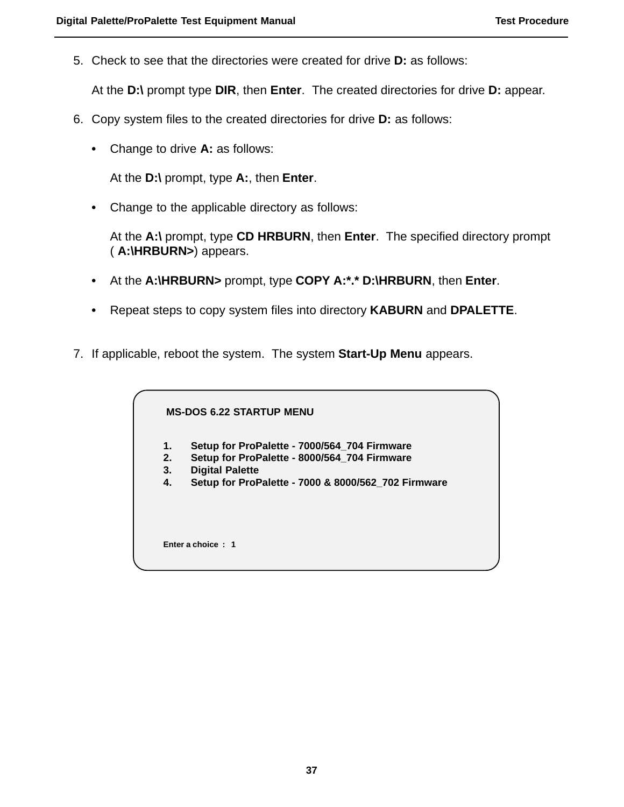5. Check to see that the directories were created for drive **D:** as follows:

At the **D:\** prompt type **DIR**, then **Enter**. The created directories for drive **D:** appear.

- 6. Copy system files to the created directories for drive **D:** as follows:
	- **•** Change to drive **A:** as follows:

At the **D:\** prompt, type **A:**, then **Enter**.

**•** Change to the applicable directory as follows:

At the **A:\** prompt, type **CD HRBURN**, then **Enter**. The specified directory prompt ( **A:\HRBURN>**) appears.

- **•** At the **A:\HRBURN>** prompt, type **COPY A:\*.\* D:\HRBURN**, then **Enter**.
- **•** Repeat steps to copy system files into directory **KABURN** and **DPALETTE**.
- 7. If applicable, reboot the system. The system **Start-Up Menu** appears.

**MS-DOS 6.22 STARTUP MENU**

- **1. Setup for ProPalette 7000/564\_704 Firmware**
- **2. Setup for ProPalette 8000/564\_704 Firmware**
- **3. Digital Palette**
- **4. Setup for ProPalette 7000 & 8000/562\_702 Firmware**

**Enter a choice : 1**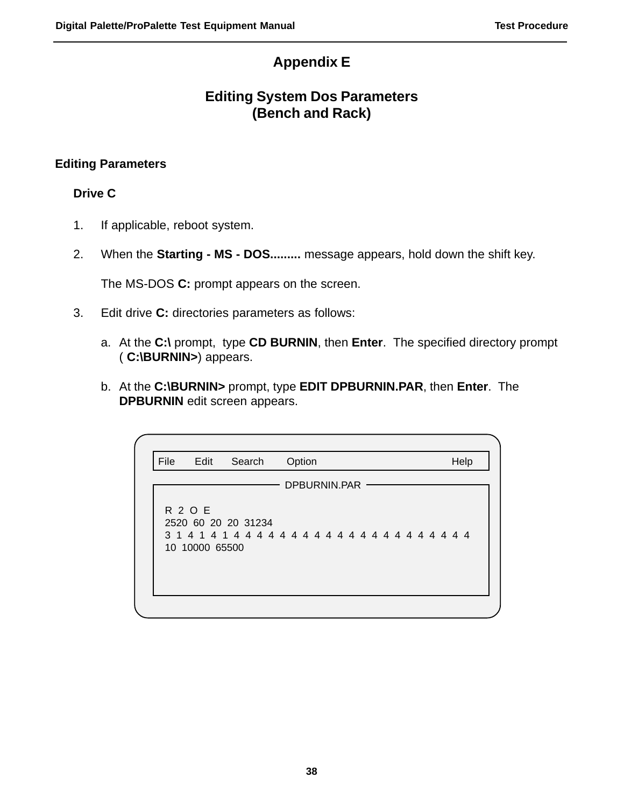### **Appendix E**

### **Editing System Dos Parameters (Bench and Rack)**

### **Editing Parameters**

### **Drive C**

- 1. If applicable, reboot system.
- 2. When the **Starting MS DOS.........** message appears, hold down the shift key.

The MS-DOS **C:** prompt appears on the screen.

- 3. Edit drive **C:** directories parameters as follows:
	- a. At the **C:\** prompt, type **CD BURNIN**, then **Enter**. The specified directory prompt ( **C:\BURNIN>**) appears.
	- b. At the **C:\BURNIN>** prompt, type **EDIT DPBURNIN.PAR**, then **Enter**. The **DPBURNIN** edit screen appears.

| File | Edit                             | Search                                              | Option       |  |  |  | Help |
|------|----------------------------------|-----------------------------------------------------|--------------|--|--|--|------|
|      |                                  |                                                     | DPBURNIN.PAR |  |  |  |      |
|      | <b>R 2 O E</b><br>10 10000 65500 | 2520 60 20 20 31234<br>3141414444444444444444444444 |              |  |  |  |      |
|      |                                  |                                                     |              |  |  |  |      |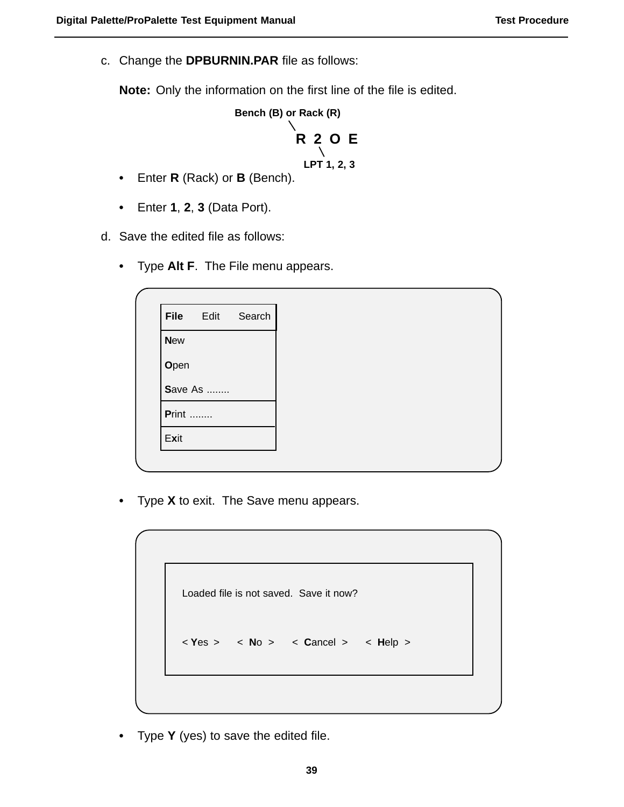c. Change the **DPBURNIN.PAR** file as follows:

**Note:** Only the information on the first line of the file is edited.



- **•** Enter **R** (Rack) or **B** (Bench).
- **•** Enter **1**, **2**, **3** (Data Port).

d. Save the edited file as follows:

**•** Type **Alt F**. The File menu appears.

|               | File Edit | Search |
|---------------|-----------|--------|
| <b>New</b>    |           |        |
| Open          |           |        |
|               | Save As   |        |
| <b>Print </b> |           |        |
| Exit          |           |        |
|               |           |        |

**•** Type **X** to exit. The Save menu appears.

Loaded file is not saved. Save it now? < **Y**es > < **N**o > < **C**ancel > < **H**elp >

**•** Type **Y** (yes) to save the edited file.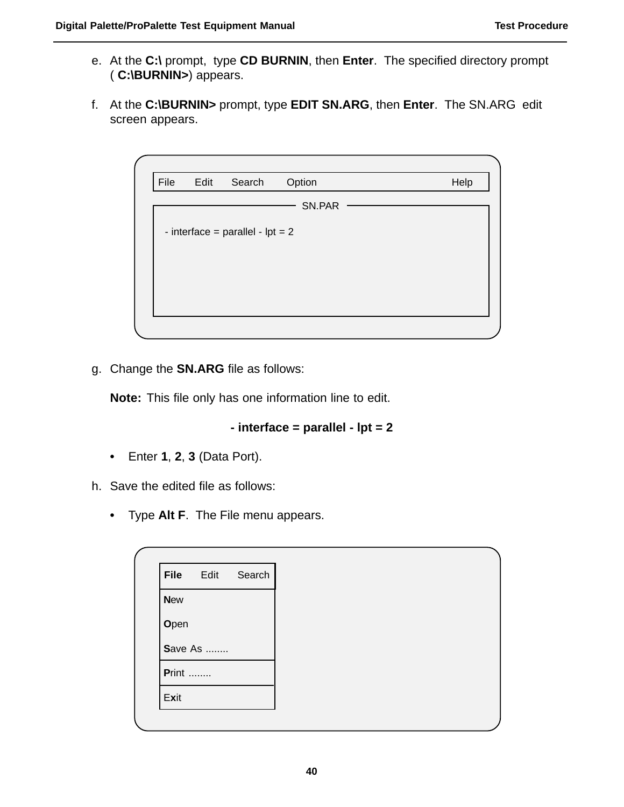- e. At the **C:\** prompt, type **CD BURNIN**, then **Enter**. The specified directory prompt ( **C:\BURNIN>**) appears.
- f. At the **C:\BURNIN>** prompt, type **EDIT SN.ARG**, then **Enter**. The SN.ARG edit screen appears.

| File | Edit | Search                             | Option | Help |
|------|------|------------------------------------|--------|------|
|      |      |                                    | SN.PAR |      |
|      |      | - interface = parallel - $ipt = 2$ |        |      |
|      |      |                                    |        |      |
|      |      |                                    |        |      |
|      |      |                                    |        |      |
|      |      |                                    |        |      |
|      |      |                                    |        |      |

g. Change the **SN.ARG** file as follows:

**Note:** This file only has one information line to edit.

#### **- interface = parallel - lpt = 2**

**•** Enter **1**, **2**, **3** (Data Port).

h. Save the edited file as follows:

**•** Type **Alt F**. The File menu appears.

| <b>File</b>   | Edit            | Search |
|---------------|-----------------|--------|
| <b>New</b>    |                 |        |
| Open          |                 |        |
|               | <b>Save As </b> |        |
| <b>Print </b> |                 |        |
| Exit          |                 |        |
|               |                 |        |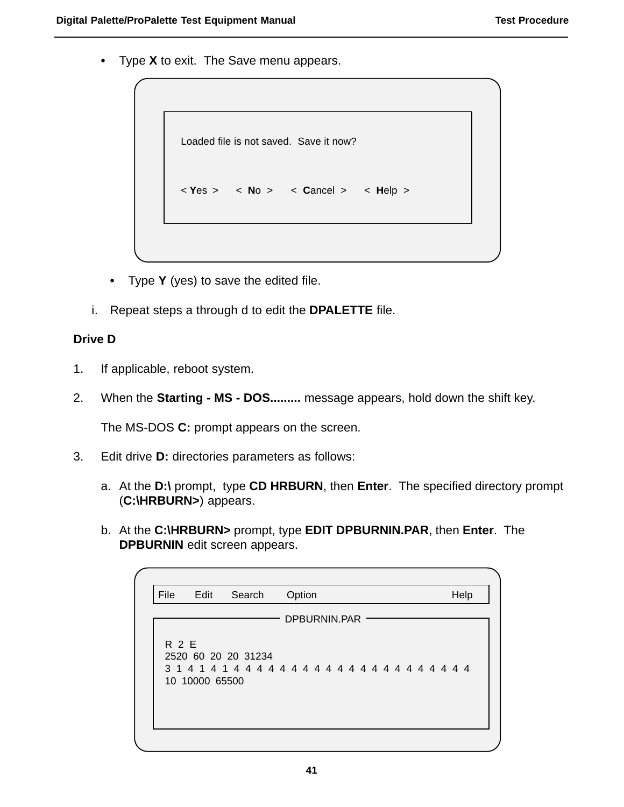**•** Type **X** to exit. The Save menu appears.

```
Loaded file is not saved. Save it now?
```

```
< Yes > < No > < Cancel > < Help >
```
- **•** Type **Y** (yes) to save the edited file.
- i. Repeat steps a through d to edit the **DPALETTE** file.

#### **Drive D**

- 1. If applicable, reboot system.
- 2. When the **Starting MS DOS.........** message appears, hold down the shift key.

The MS-DOS **C:** prompt appears on the screen.

- 3. Edit drive **D:** directories parameters as follows:
	- a. At the **D:\** prompt, type **CD HRBURN**, then **Enter**. The specified directory prompt (**C:\HRBURN>**) appears.
	- b. At the **C:\HRBURN>** prompt, type **EDIT DPBURNIN.PAR**, then **Enter**. The **DPBURNIN** edit screen appears.

| File  | Edit           | Search              | Option       |  |  | Help |  |
|-------|----------------|---------------------|--------------|--|--|------|--|
|       |                |                     | DPBURNIN.PAR |  |  |      |  |
| R 2 E | 10 10000 65500 | 2520 60 20 20 31234 |              |  |  |      |  |
|       |                |                     |              |  |  |      |  |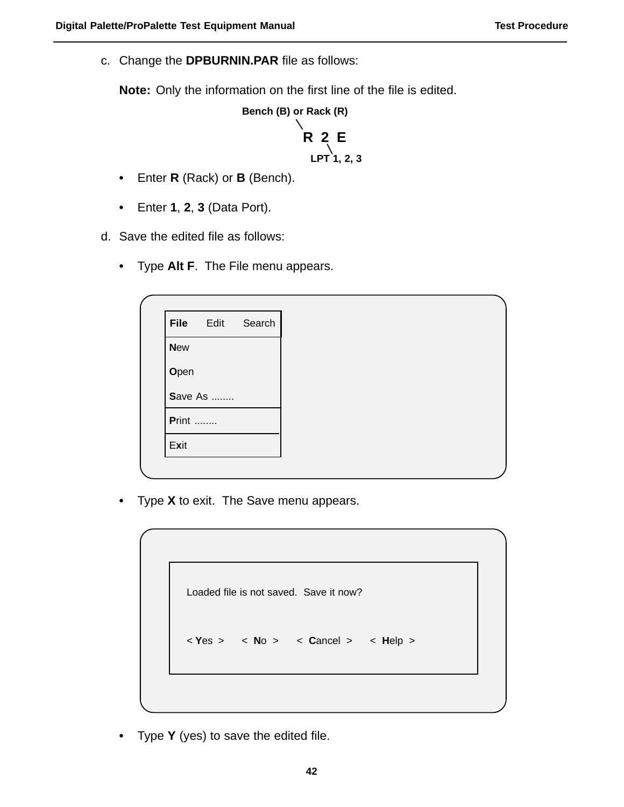c. Change the **DPBURNIN.PAR** file as follows:

**Note:** Only the information on the first line of the file is edited.

**Bench (B) or Rack (R)**

# **R 2 E LPT 1, 2, 3**

- **•** Enter **R** (Rack) or **B** (Bench).
- **•** Enter **1**, **2**, **3** (Data Port).

d. Save the edited file as follows:

**•** Type **Alt F**. The File menu appears.

|               | File Edit | Search |
|---------------|-----------|--------|
| <b>New</b>    |           |        |
| Open          |           |        |
|               | Save As   |        |
| <b>Print </b> |           |        |
| Exit          |           |        |
|               |           |        |

**•** Type **X** to exit. The Save menu appears.

Loaded file is not saved. Save it now? < **Y**es > < **N**o > < **C**ancel > < **H**elp >

**•** Type **Y** (yes) to save the edited file.